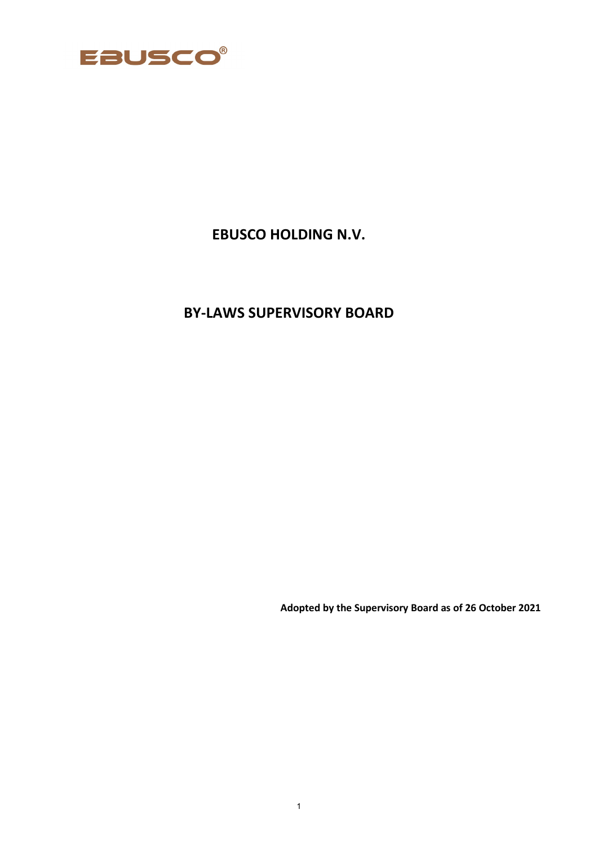

# **EBUSCO HOLDING N.V.**

# **BY-LAWS SUPERVISORY BOARD**

**Adopted by the Supervisory Board as of 26 October 2021**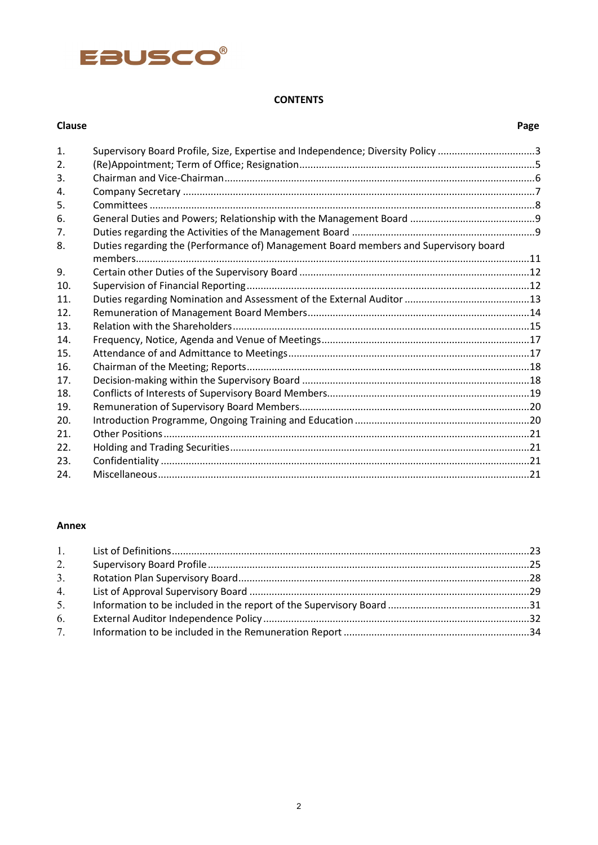# EBUSCO®

### **CONTENTS**

| Clause |                                                                                      | Page |
|--------|--------------------------------------------------------------------------------------|------|
| 1.     | Supervisory Board Profile, Size, Expertise and Independence; Diversity Policy 3      |      |
| 2.     |                                                                                      |      |
| 3.     |                                                                                      |      |
| 4.     |                                                                                      |      |
| 5.     |                                                                                      |      |
| 6.     |                                                                                      |      |
| 7.     |                                                                                      |      |
| 8.     | Duties regarding the (Performance of) Management Board members and Supervisory board |      |
| 9.     |                                                                                      |      |
| 10.    |                                                                                      |      |
| 11.    |                                                                                      |      |
| 12.    |                                                                                      |      |
| 13.    |                                                                                      |      |
| 14.    |                                                                                      |      |
| 15.    |                                                                                      |      |
| 16.    |                                                                                      |      |
| 17.    |                                                                                      |      |
| 18.    |                                                                                      |      |
| 19.    |                                                                                      |      |
| 20.    |                                                                                      |      |
| 21.    |                                                                                      |      |
| 22.    |                                                                                      |      |
| 23.    |                                                                                      |      |
| 24.    |                                                                                      |      |

# **Annex**

| 2. |  |
|----|--|
| 3. |  |
|    |  |
| 5. |  |
| 6. |  |
|    |  |
|    |  |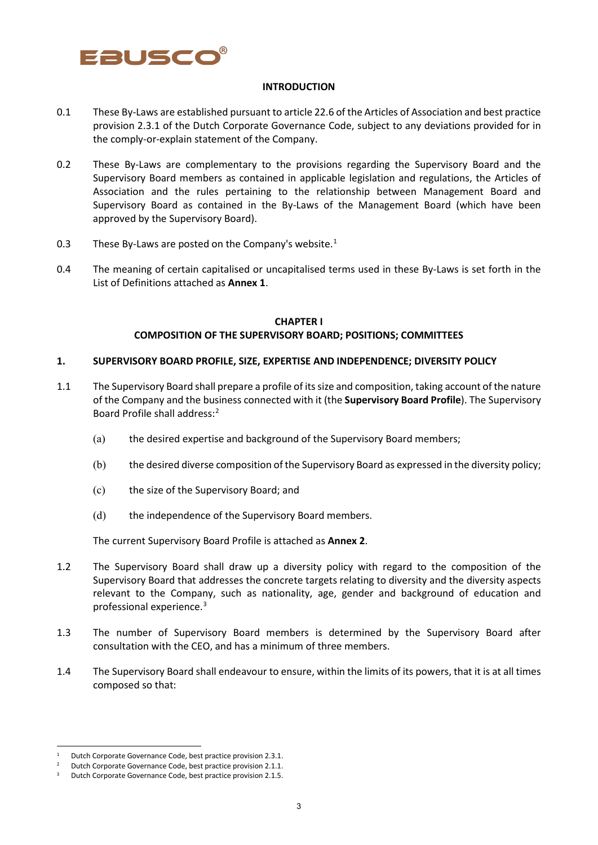

#### **INTRODUCTION**

- 0.1 These By-Laws are established pursuant to article 22.6 of the Articles of Association and best practice provision 2.3.1 of the Dutch Corporate Governance Code, subject to any deviations provided for in the comply-or-explain statement of the Company.
- 0.2 These By-Laws are complementary to the provisions regarding the Supervisory Board and the Supervisory Board members as contained in applicable legislation and regulations, the Articles of Association and the rules pertaining to the relationship between Management Board and Supervisory Board as contained in the By-Laws of the Management Board (which have been approved by the Supervisory Board).
- 0.3 These By-Laws are posted on the Company's website. $1$
- 0.4 The meaning of certain capitalised or uncapitalised terms used in these By-Laws is set forth in the List of Definitions attached as **Annex 1**.

#### **CHAPTER I COMPOSITION OF THE SUPERVISORY BOARD; POSITIONS; COMMITTEES**

#### **1. SUPERVISORY BOARD PROFILE, SIZE, EXPERTISE AND INDEPENDENCE; DIVERSITY POLICY**

- 1.1 The Supervisory Board shall prepare a profile of its size and composition, taking account of the nature of the Company and the business connected with it (the **Supervisory Board Profile**). The Supervisory Board Profile shall address: [2](#page-2-1)
	- (a) the desired expertise and background of the Supervisory Board members;
	- (b) the desired diverse composition of the Supervisory Board as expressed in the diversity policy;
	- (c) the size of the Supervisory Board; and
	- (d) the independence of the Supervisory Board members.

The current Supervisory Board Profile is attached as **Annex 2**.

- 1.2 The Supervisory Board shall draw up a diversity policy with regard to the composition of the Supervisory Board that addresses the concrete targets relating to diversity and the diversity aspects relevant to the Company, such as nationality, age, gender and background of education and professional experience. [3](#page-2-2)
- 1.3 The number of Supervisory Board members is determined by the Supervisory Board after consultation with the CEO, and has a minimum of three members.
- 1.4 The Supervisory Board shall endeavour to ensure, within the limits of its powers, that it is at all times composed so that:

<span id="page-2-0"></span>Dutch Corporate Governance Code, best practice provision 2.3.1.

<span id="page-2-1"></span><sup>2</sup> Dutch Corporate Governance Code, best practice provision 2.1.1.

<span id="page-2-2"></span><sup>3</sup> Dutch Corporate Governance Code, best practice provision 2.1.5.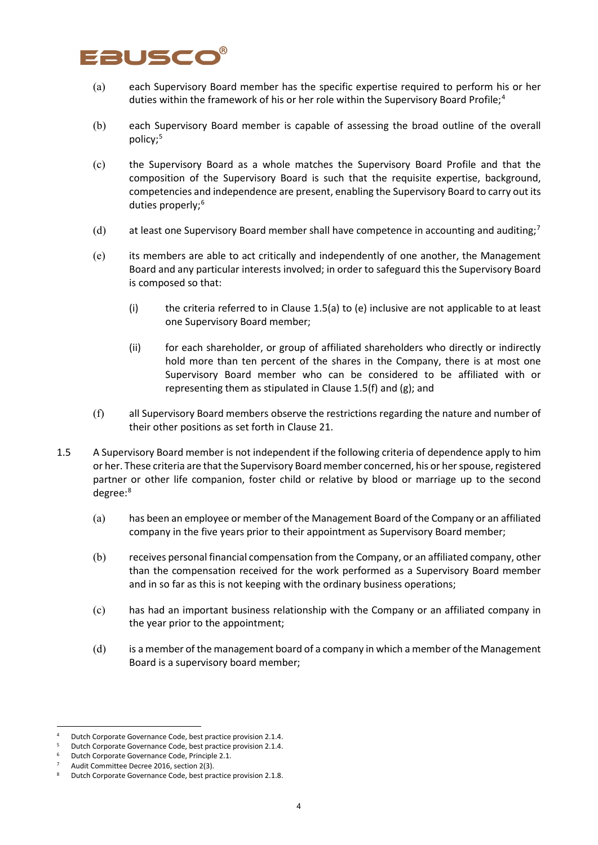# ausco

- (a) each Supervisory Board member has the specific expertise required to perform his or her duties within the framework of his or her role within the Supervisory Board Profile;<sup>[4](#page-3-0)</sup>
- (b) each Supervisory Board member is capable of assessing the broad outline of the overall policy;[5](#page-3-1)
- (c) the Supervisory Board as a whole matches the Supervisory Board Profile and that the composition of the Supervisory Board is such that the requisite expertise, background, competencies and independence are present, enabling the Supervisory Board to carry out its duties properly;<sup>[6](#page-3-2)</sup>
- (d) at least one Supervisory Board member shall have competence in accounting and auditing;<sup>[7](#page-3-3)</sup>
- (e) its members are able to act critically and independently of one another, the Management Board and any particular interests involved; in order to safeguard this the Supervisory Board is composed so that:
	- (i) the criteria referred to in Clause 1.5(a) to (e) inclusive are not applicable to at least one Supervisory Board member;
	- (ii) for each shareholder, or group of affiliated shareholders who directly or indirectly hold more than ten percent of the shares in the Company, there is at most one Supervisory Board member who can be considered to be affiliated with or representing them as stipulated in Clause 1.5(f) and (g); and
- (f) all Supervisory Board members observe the restrictions regarding the nature and number of their other positions as set forth in Clause 21.
- 1.5 A Supervisory Board member is not independent if the following criteria of dependence apply to him or her. These criteria are that the Supervisory Board member concerned, his or her spouse, registered partner or other life companion, foster child or relative by blood or marriage up to the second degree:[8](#page-3-4)
	- (a) has been an employee or member of the Management Board of the Company or an affiliated company in the five years prior to their appointment as Supervisory Board member;
	- (b) receives personal financial compensation from the Company, or an affiliated company, other than the compensation received for the work performed as a Supervisory Board member and in so far as this is not keeping with the ordinary business operations;
	- (c) has had an important business relationship with the Company or an affiliated company in the year prior to the appointment;
	- (d) is a member of the management board of a company in which a member of the Management Board is a supervisory board member;

<span id="page-3-0"></span><sup>4</sup> Dutch Corporate Governance Code, best practice provision 2.1.4.

<span id="page-3-1"></span><sup>5</sup> Dutch Corporate Governance Code, best practice provision 2.1.4.

<sup>6</sup> Dutch Corporate Governance Code, Principle 2.1.

<span id="page-3-3"></span><span id="page-3-2"></span>Audit Committee Decree 2016, section 2(3).

<span id="page-3-4"></span>Butch Corporate Governance Code, best practice provision 2.1.8.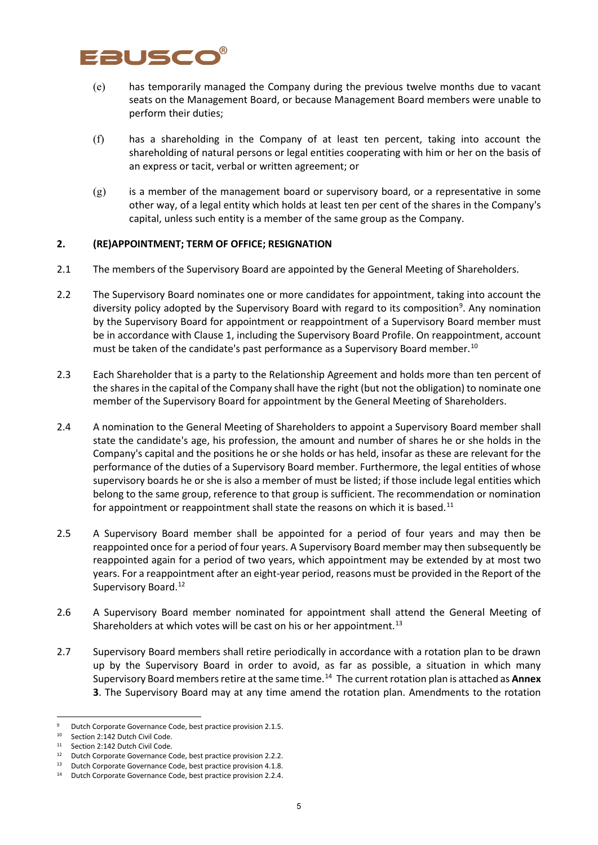# Fausco

- (e) has temporarily managed the Company during the previous twelve months due to vacant seats on the Management Board, or because Management Board members were unable to perform their duties;
- (f) has a shareholding in the Company of at least ten percent, taking into account the shareholding of natural persons or legal entities cooperating with him or her on the basis of an express or tacit, verbal or written agreement; or
- (g) is a member of the management board or supervisory board, or a representative in some other way, of a legal entity which holds at least ten per cent of the shares in the Company's capital, unless such entity is a member of the same group as the Company.

### **2. (RE)APPOINTMENT; TERM OF OFFICE; RESIGNATION**

- 2.1 The members of the Supervisory Board are appointed by the General Meeting of Shareholders.
- 2.2 The Supervisory Board nominates one or more candidates for appointment, taking into account the diversity policy adopted by the Supervisory Board with regard to its composition<sup>[9](#page-4-0)</sup>. Any nomination by the Supervisory Board for appointment or reappointment of a Supervisory Board member must be in accordance with Clause 1, including the Supervisory Board Profile. On reappointment, account must be taken of the candidate's past performance as a Supervisory Board member.<sup>[10](#page-4-1)</sup>
- 2.3 Each Shareholder that is a party to the Relationship Agreement and holds more than ten percent of the shares in the capital of the Company shall have the right (but not the obligation) to nominate one member of the Supervisory Board for appointment by the General Meeting of Shareholders.
- 2.4 A nomination to the General Meeting of Shareholders to appoint a Supervisory Board member shall state the candidate's age, his profession, the amount and number of shares he or she holds in the Company's capital and the positions he or she holds or has held, insofar as these are relevant for the performance of the duties of a Supervisory Board member. Furthermore, the legal entities of whose supervisory boards he or she is also a member of must be listed; if those include legal entities which belong to the same group, reference to that group is sufficient. The recommendation or nomination for appointment or reappointment shall state the reasons on which it is based.<sup>[11](#page-4-2)</sup>
- 2.5 A Supervisory Board member shall be appointed for a period of four years and may then be reappointed once for a period of four years. A Supervisory Board member may then subsequently be reappointed again for a period of two years, which appointment may be extended by at most two years. For a reappointment after an eight-year period, reasons must be provided in the Report of the Supervisory Board.<sup>[12](#page-4-3)</sup>
- 2.6 A Supervisory Board member nominated for appointment shall attend the General Meeting of Shareholders at which votes will be cast on his or her appointment.<sup>[13](#page-4-4)</sup>
- 2.7 Supervisory Board members shall retire periodically in accordance with a rotation plan to be drawn up by the Supervisory Board in order to avoid, as far as possible, a situation in which many Supervisory Board members retire at the same time.[14](#page-4-5) The current rotation plan is attached as **Annex 3**. The Supervisory Board may at any time amend the rotation plan. Amendments to the rotation

<span id="page-4-0"></span>Dutch Corporate Governance Code, best practice provision 2.1.5.

<sup>&</sup>lt;sup>10</sup> Section 2:142 Dutch Civil Code.

<span id="page-4-2"></span><span id="page-4-1"></span><sup>&</sup>lt;sup>11</sup> Section 2:142 Dutch Civil Code.

<span id="page-4-3"></span><sup>12</sup> Dutch Corporate Governance Code, best practice provision 2.2.2.

<span id="page-4-4"></span><sup>13</sup> Dutch Corporate Governance Code, best practice provision 4.1.8.

<span id="page-4-5"></span><sup>14</sup> Dutch Corporate Governance Code, best practice provision 2.2.4.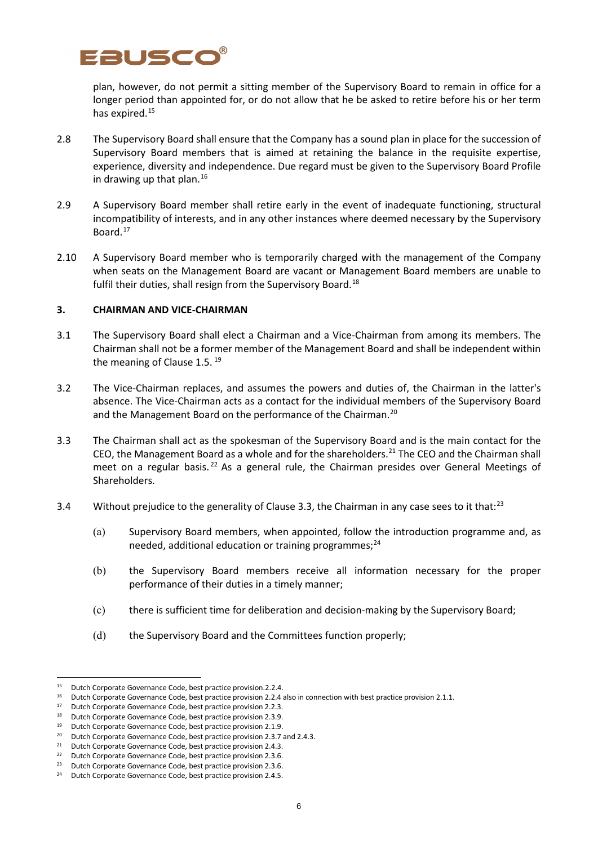

plan, however, do not permit a sitting member of the Supervisory Board to remain in office for a longer period than appointed for, or do not allow that he be asked to retire before his or her term has expired.<sup>15</sup>

- 2.8 The Supervisory Board shall ensure that the Company has a sound plan in place for the succession of Supervisory Board members that is aimed at retaining the balance in the requisite expertise, experience, diversity and independence. Due regard must be given to the Supervisory Board Profile in drawing up that plan.<sup>[16](#page-5-1)</sup>
- 2.9 A Supervisory Board member shall retire early in the event of inadequate functioning, structural incompatibility of interests, and in any other instances where deemed necessary by the Supervisory Board.[17](#page-5-2)
- 2.10 A Supervisory Board member who is temporarily charged with the management of the Company when seats on the Management Board are vacant or Management Board members are unable to fulfil their duties, shall resign from the Supervisory Board.<sup>[18](#page-5-3)</sup>

#### **3. CHAIRMAN AND VICE-CHAIRMAN**

- 3.1 The Supervisory Board shall elect a Chairman and a Vice-Chairman from among its members. The Chairman shall not be a former member of the Management Board and shall be independent within the meaning of Clause 1.5.<sup>[19](#page-5-4)</sup>
- 3.2 The Vice-Chairman replaces, and assumes the powers and duties of, the Chairman in the latter's absence. The Vice-Chairman acts as a contact for the individual members of the Supervisory Board and the Management Board on the performance of the Chairman.<sup>[20](#page-5-5)</sup>
- 3.3 The Chairman shall act as the spokesman of the Supervisory Board and is the main contact for the CEO, the Management Board as a whole and for the shareholders. [21](#page-5-6) The CEO and the Chairman shall meet on a regular basis.<sup>[22](#page-5-7)</sup> As a general rule, the Chairman presides over General Meetings of Shareholders.
- 3.4 Without prejudice to the generality of Clause 3.3, the Chairman in any case sees to it that:<sup>[23](#page-5-8)</sup>
	- (a) Supervisory Board members, when appointed, follow the introduction programme and, as needed, additional education or training programmes; $^{24}$  $^{24}$  $^{24}$
	- (b) the Supervisory Board members receive all information necessary for the proper performance of their duties in a timely manner;
	- (c) there is sufficient time for deliberation and decision-making by the Supervisory Board;
	- (d) the Supervisory Board and the Committees function properly;

<span id="page-5-0"></span><sup>15</sup> Dutch Corporate Governance Code, best practice provision.2.2.4.

<sup>&</sup>lt;sup>16</sup> Dutch Corporate Governance Code, best practice provision 2.2.4 also in connection with best practice provision 2.1.1.

<span id="page-5-2"></span><span id="page-5-1"></span><sup>&</sup>lt;sup>17</sup> Dutch Corporate Governance Code, best practice provision 2.2.3.<br><sup>18</sup> Dutch Corporate Governance Code, best practice provision 2.3.9.

Dutch Corporate Governance Code, best practice provision 2.3.9.

<span id="page-5-4"></span><span id="page-5-3"></span><sup>19</sup> Dutch Corporate Governance Code, best practice provision 2.1.9.

<span id="page-5-5"></span><sup>&</sup>lt;sup>20</sup> Dutch Corporate Governance Code, best practice provision 2.3.7 and 2.4.3.<br><sup>21</sup> Dutch Corporate Governance Code, best practice provision 2.4.3.<br><sup>22</sup> Dutch Corporate Governance Code, best practice provision 2.3.6.

<span id="page-5-6"></span>

<span id="page-5-7"></span><sup>22</sup> Dutch Corporate Governance Code, best practice provision 2.3.6.

<span id="page-5-8"></span><sup>&</sup>lt;sup>23</sup> Dutch Corporate Governance Code, best practice provision 2.3.6.

<span id="page-5-9"></span><sup>&</sup>lt;sup>24</sup> Dutch Corporate Governance Code, best practice provision 2.4.5.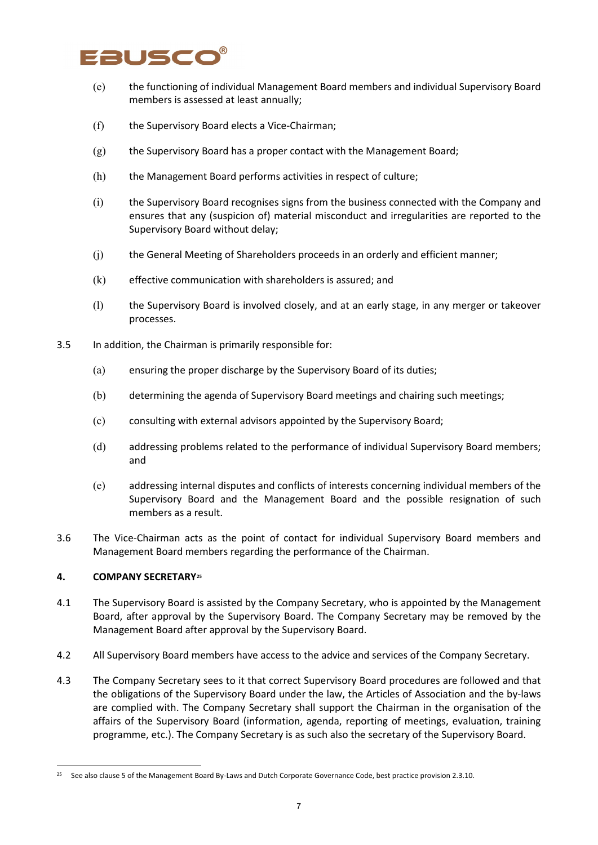# Fausco

- (e) the functioning of individual Management Board members and individual Supervisory Board members is assessed at least annually;
- (f) the Supervisory Board elects a Vice-Chairman;
- (g) the Supervisory Board has a proper contact with the Management Board;
- (h) the Management Board performs activities in respect of culture;
- (i) the Supervisory Board recognises signs from the business connected with the Company and ensures that any (suspicion of) material misconduct and irregularities are reported to the Supervisory Board without delay;
- (j) the General Meeting of Shareholders proceeds in an orderly and efficient manner;
- (k) effective communication with shareholders is assured; and
- (l) the Supervisory Board is involved closely, and at an early stage, in any merger or takeover processes.
- 3.5 In addition, the Chairman is primarily responsible for:
	- (a) ensuring the proper discharge by the Supervisory Board of its duties;
	- (b) determining the agenda of Supervisory Board meetings and chairing such meetings;
	- (c) consulting with external advisors appointed by the Supervisory Board;
	- (d) addressing problems related to the performance of individual Supervisory Board members; and
	- (e) addressing internal disputes and conflicts of interests concerning individual members of the Supervisory Board and the Management Board and the possible resignation of such members as a result.
- 3.6 The Vice-Chairman acts as the point of contact for individual Supervisory Board members and Management Board members regarding the performance of the Chairman.

#### **4. COMPANY SECRETARY[25](#page-6-0)**

- 4.1 The Supervisory Board is assisted by the Company Secretary, who is appointed by the Management Board, after approval by the Supervisory Board. The Company Secretary may be removed by the Management Board after approval by the Supervisory Board.
- 4.2 All Supervisory Board members have access to the advice and services of the Company Secretary.
- 4.3 The Company Secretary sees to it that correct Supervisory Board procedures are followed and that the obligations of the Supervisory Board under the law, the Articles of Association and the by-laws are complied with. The Company Secretary shall support the Chairman in the organisation of the affairs of the Supervisory Board (information, agenda, reporting of meetings, evaluation, training programme, etc.). The Company Secretary is as such also the secretary of the Supervisory Board.

<span id="page-6-0"></span><sup>25</sup> See also clause 5 of the Management Board By-Laws and Dutch Corporate Governance Code, best practice provision 2.3.10.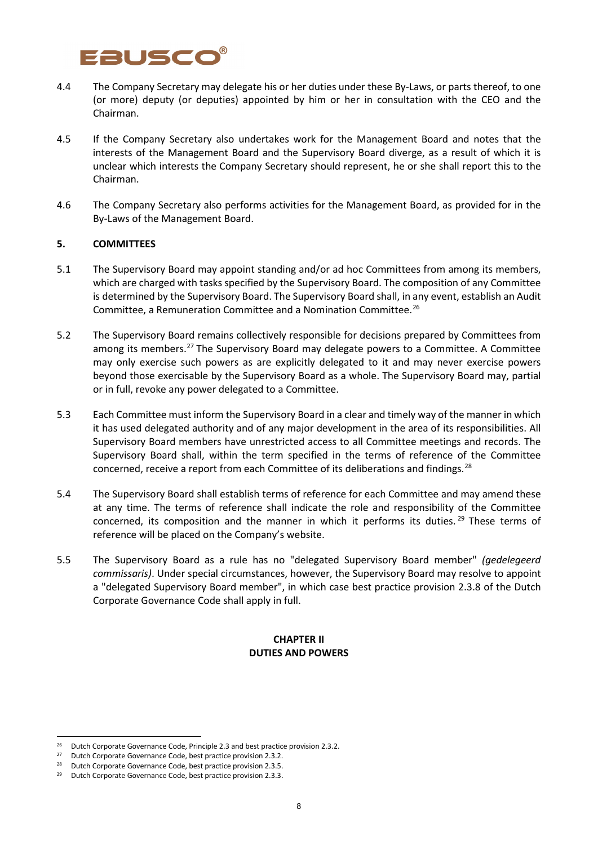# FRUSCO

- 4.4 The Company Secretary may delegate his or her duties under these By-Laws, or parts thereof, to one (or more) deputy (or deputies) appointed by him or her in consultation with the CEO and the Chairman.
- 4.5 If the Company Secretary also undertakes work for the Management Board and notes that the interests of the Management Board and the Supervisory Board diverge, as a result of which it is unclear which interests the Company Secretary should represent, he or she shall report this to the Chairman.
- 4.6 The Company Secretary also performs activities for the Management Board, as provided for in the By-Laws of the Management Board.

### **5. COMMITTEES**

- 5.1 The Supervisory Board may appoint standing and/or ad hoc Committees from among its members, which are charged with tasks specified by the Supervisory Board. The composition of any Committee is determined by the Supervisory Board. The Supervisory Board shall, in any event, establish an Audit Committee, a Remuneration Committee and a Nomination Committee.[26](#page-7-0)
- 5.2 The Supervisory Board remains collectively responsible for decisions prepared by Committees from among its members.<sup>[27](#page-7-1)</sup> The Supervisory Board may delegate powers to a Committee. A Committee may only exercise such powers as are explicitly delegated to it and may never exercise powers beyond those exercisable by the Supervisory Board as a whole. The Supervisory Board may, partial or in full, revoke any power delegated to a Committee.
- 5.3 Each Committee must inform the Supervisory Board in a clear and timely way of the manner in which it has used delegated authority and of any major development in the area of its responsibilities. All Supervisory Board members have unrestricted access to all Committee meetings and records. The Supervisory Board shall, within the term specified in the terms of reference of the Committee concerned, receive a report from each Committee of its deliberations and findings.[28](#page-7-2)
- 5.4 The Supervisory Board shall establish terms of reference for each Committee and may amend these at any time. The terms of reference shall indicate the role and responsibility of the Committee concerned, its composition and the manner in which it performs its duties.<sup>[29](#page-7-3)</sup> These terms of reference will be placed on the Company's website.
- 5.5 The Supervisory Board as a rule has no "delegated Supervisory Board member" *(gedelegeerd commissaris)*. Under special circumstances, however, the Supervisory Board may resolve to appoint a "delegated Supervisory Board member", in which case best practice provision 2.3.8 of the Dutch Corporate Governance Code shall apply in full.

### **CHAPTER II DUTIES AND POWERS**

<span id="page-7-0"></span><sup>&</sup>lt;sup>26</sup> Dutch Corporate Governance Code, Principle 2.3 and best practice provision 2.3.2.<br><sup>27</sup> Dutch Corporate Governance Code, best practice provision 2.3.2.

<sup>27</sup> Dutch Corporate Governance Code, best practice provision 2.3.2.

<span id="page-7-2"></span><span id="page-7-1"></span><sup>&</sup>lt;sup>28</sup> Dutch Corporate Governance Code, best practice provision 2.3.5.

<span id="page-7-3"></span><sup>&</sup>lt;sup>29</sup> Dutch Corporate Governance Code, best practice provision 2.3.3.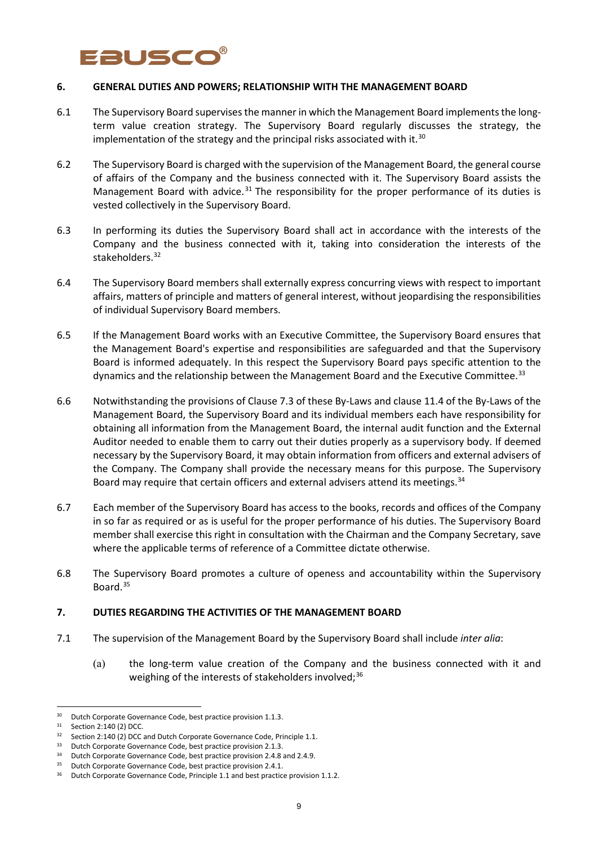# FAUSCO

#### **6. GENERAL DUTIES AND POWERS; RELATIONSHIP WITH THE MANAGEMENT BOARD**

- 6.1 The Supervisory Board supervises the manner in which the Management Board implements the longterm value creation strategy. The Supervisory Board regularly discusses the strategy, the implementation of the strategy and the principal risks associated with it.<sup>[30](#page-8-0)</sup>
- 6.2 The Supervisory Board is charged with the supervision of the Management Board, the general course of affairs of the Company and the business connected with it. The Supervisory Board assists the Management Board with advice.<sup>[31](#page-8-1)</sup> The responsibility for the proper performance of its duties is vested collectively in the Supervisory Board.
- 6.3 In performing its duties the Supervisory Board shall act in accordance with the interests of the Company and the business connected with it, taking into consideration the interests of the stakeholders. [32](#page-8-2)
- 6.4 The Supervisory Board members shall externally express concurring views with respect to important affairs, matters of principle and matters of general interest, without jeopardising the responsibilities of individual Supervisory Board members.
- 6.5 If the Management Board works with an Executive Committee, the Supervisory Board ensures that the Management Board's expertise and responsibilities are safeguarded and that the Supervisory Board is informed adequately. In this respect the Supervisory Board pays specific attention to the dynamics and the relationship between the Management Board and the Executive Committee.<sup>[33](#page-8-3)</sup>
- 6.6 Notwithstanding the provisions of Clause 7.3 of these By-Laws and clause 11.4 of the By-Laws of the Management Board, the Supervisory Board and its individual members each have responsibility for obtaining all information from the Management Board, the internal audit function and the External Auditor needed to enable them to carry out their duties properly as a supervisory body. If deemed necessary by the Supervisory Board, it may obtain information from officers and external advisers of the Company. The Company shall provide the necessary means for this purpose. The Supervisory Board may require that certain officers and external advisers attend its meetings.<sup>[34](#page-8-4)</sup>
- 6.7 Each member of the Supervisory Board has access to the books, records and offices of the Company in so far as required or as is useful for the proper performance of his duties. The Supervisory Board member shall exercise this right in consultation with the Chairman and the Company Secretary, save where the applicable terms of reference of a Committee dictate otherwise.
- 6.8 The Supervisory Board promotes a culture of openess and accountability within the Supervisory Board.[35](#page-8-5)

#### **7. DUTIES REGARDING THE ACTIVITIES OF THE MANAGEMENT BOARD**

- 7.1 The supervision of the Management Board by the Supervisory Board shall include *inter alia*:
	- (a) the long-term value creation of the Company and the business connected with it and weighing of the interests of stakeholders involved;<sup>[36](#page-8-6)</sup>

<sup>&</sup>lt;sup>30</sup> Dutch Corporate Governance Code, best practice provision 1.1.3.

<span id="page-8-1"></span><span id="page-8-0"></span><sup>31</sup> Section 2:140 (2) DCC.

<span id="page-8-2"></span><sup>&</sup>lt;sup>32</sup> Section 2:140 (2) DCC and Dutch Corporate Governance Code, Principle 1.1.

<span id="page-8-3"></span><sup>&</sup>lt;sup>33</sup> Dutch Corporate Governance Code, best practice provision 2.1.3.

<sup>34</sup> Dutch Corporate Governance Code, best practice provision 2.4.8 and 2.4.9.

<span id="page-8-5"></span><span id="page-8-4"></span><sup>&</sup>lt;sup>35</sup> Dutch Corporate Governance Code, best practice provision 2.4.1.

<span id="page-8-6"></span><sup>&</sup>lt;sup>36</sup> Dutch Corporate Governance Code, Principle 1.1 and best practice provision 1.1.2.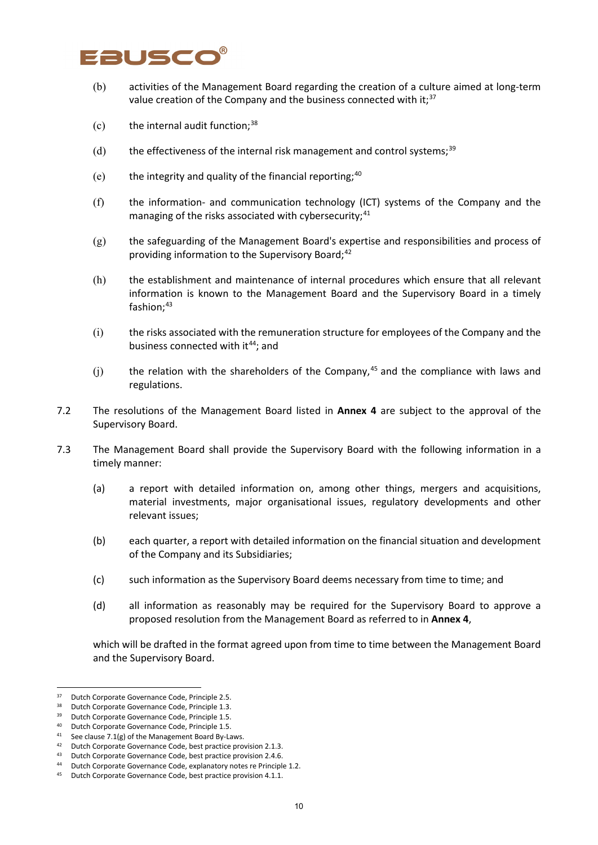# **BUSCO**

- (b) activities of the Management Board regarding the creation of a culture aimed at long-term value creation of the Company and the business connected with it;<sup>[37](#page-9-0)</sup>
- $(c)$  the internal audit function;<sup>[38](#page-9-1)</sup>
- $(d)$  the effectiveness of the internal risk management and control systems;<sup>[39](#page-9-2)</sup>
- (e) the integrity and quality of the financial reporting;  $40$
- (f) the information- and communication technology (ICT) systems of the Company and the managing of the risks associated with cybersecurity;<sup>[41](#page-9-4)</sup>
- (g) the safeguarding of the Management Board's expertise and responsibilities and process of providing information to the Supervisory Board; [42](#page-9-5)
- (h) the establishment and maintenance of internal procedures which ensure that all relevant information is known to the Management Board and the Supervisory Board in a timely fashion; [43](#page-9-6)
- (i) the risks associated with the remuneration structure for employees of the Company and the business connected with it<sup>[44](#page-9-7)</sup>; and
- $(j)$  the relation with the shareholders of the Company,<sup>[45](#page-9-8)</sup> and the compliance with laws and regulations.
- 7.2 The resolutions of the Management Board listed in **Annex 4** are subject to the approval of the Supervisory Board.
- 7.3 The Management Board shall provide the Supervisory Board with the following information in a timely manner:
	- (a) a report with detailed information on, among other things, mergers and acquisitions, material investments, major organisational issues, regulatory developments and other relevant issues;
	- (b) each quarter, a report with detailed information on the financial situation and development of the Company and its Subsidiaries;
	- (c) such information as the Supervisory Board deems necessary from time to time; and
	- (d) all information as reasonably may be required for the Supervisory Board to approve a proposed resolution from the Management Board as referred to in **Annex 4**,

which will be drafted in the format agreed upon from time to time between the Management Board and the Supervisory Board.

<span id="page-9-0"></span><sup>&</sup>lt;sup>37</sup> Dutch Corporate Governance Code, Principle 2.5.

<span id="page-9-1"></span><sup>38</sup> Dutch Corporate Governance Code, Principle 1.3.

<span id="page-9-2"></span><sup>&</sup>lt;sup>39</sup> Dutch Corporate Governance Code, Principle 1.5.

<sup>40</sup> Dutch Corporate Governance Code, Principle 1.5.

<span id="page-9-4"></span><span id="page-9-3"></span><sup>41</sup> See clause 7.1(g) of the Management Board By-Laws.

<span id="page-9-5"></span><sup>&</sup>lt;sup>42</sup> Dutch Corporate Governance Code, best practice provision 2.1.3.<br><sup>43</sup> Dutch Corporate Governance Code, best practice provision 2.4.6.

<sup>43</sup> Dutch Corporate Governance Code, best practice provision 2.4.6.

<span id="page-9-7"></span><span id="page-9-6"></span><sup>44</sup> Dutch Corporate Governance Code, explanatory notes re Principle 1.2.

<span id="page-9-8"></span><sup>45</sup> Dutch Corporate Governance Code, best practice provision 4.1.1.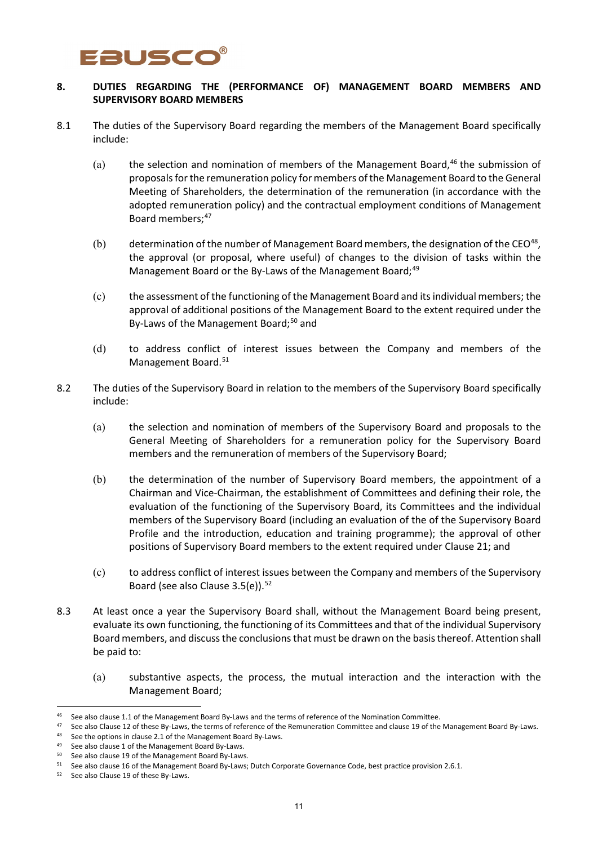# FRUSCO

### **8. DUTIES REGARDING THE (PERFORMANCE OF) MANAGEMENT BOARD MEMBERS AND SUPERVISORY BOARD MEMBERS**

- 8.1 The duties of the Supervisory Board regarding the members of the Management Board specifically include:
	- (a) the selection and nomination of members of the Management Board, $46$  the submission of proposals for the remuneration policy for members of the Management Board to the General Meeting of Shareholders, the determination of the remuneration (in accordance with the adopted remuneration policy) and the contractual employment conditions of Management Board members;<sup>[47](#page-10-1)</sup>
	- (b) determination of the number of Management Board members, the designation of the CEO<sup>48</sup>, the approval (or proposal, where useful) of changes to the division of tasks within the Management Board or the By-Laws of the Management Board;<sup>[49](#page-10-3)</sup>
	- (c) the assessment of the functioning of the Management Board and its individual members; the approval of additional positions of the Management Board to the extent required under the By-Laws of the Management Board;<sup>[50](#page-10-4)</sup> and
	- (d) to address conflict of interest issues between the Company and members of the Management Board.<sup>[51](#page-10-5)</sup>
- 8.2 The duties of the Supervisory Board in relation to the members of the Supervisory Board specifically include:
	- (a) the selection and nomination of members of the Supervisory Board and proposals to the General Meeting of Shareholders for a remuneration policy for the Supervisory Board members and the remuneration of members of the Supervisory Board;
	- (b) the determination of the number of Supervisory Board members, the appointment of a Chairman and Vice-Chairman, the establishment of Committees and defining their role, the evaluation of the functioning of the Supervisory Board, its Committees and the individual members of the Supervisory Board (including an evaluation of the of the Supervisory Board Profile and the introduction, education and training programme); the approval of other positions of Supervisory Board members to the extent required under Clause 21; and
	- (c) to address conflict of interest issues between the Company and members of the Supervisory Board (see also Clause 3.5(e)). [52](#page-10-6)
- 8.3 At least once a year the Supervisory Board shall, without the Management Board being present, evaluate its own functioning, the functioning of its Committees and that of the individual Supervisory Board members, and discuss the conclusions that must be drawn on the basis thereof. Attention shall be paid to:
	- (a) substantive aspects, the process, the mutual interaction and the interaction with the Management Board;

See also clause 1.1 of the Management Board By-Laws and the terms of reference of the Nomination Committee.

<span id="page-10-1"></span><span id="page-10-0"></span><sup>&</sup>lt;sup>47</sup> See also Clause 12 of these By-Laws, the terms of reference of the Remuneration Committee and clause 19 of the Management Board By-Laws.

<span id="page-10-2"></span><sup>48</sup> See the options in clause 2.1 of the Management Board By-Laws.

<span id="page-10-3"></span><sup>49</sup> See also clause 1 of the Management Board By-Laws.

<span id="page-10-4"></span><sup>&</sup>lt;sup>50</sup> See also clause 19 of the Management Board By-Laws.<br><sup>51</sup> See also clause 16 of the Management Board By-Laws; Dutch Corporate Governance Code, best practice provision 2.6.1.

<span id="page-10-6"></span><span id="page-10-5"></span><sup>52</sup> See also Clause 19 of these By-Laws.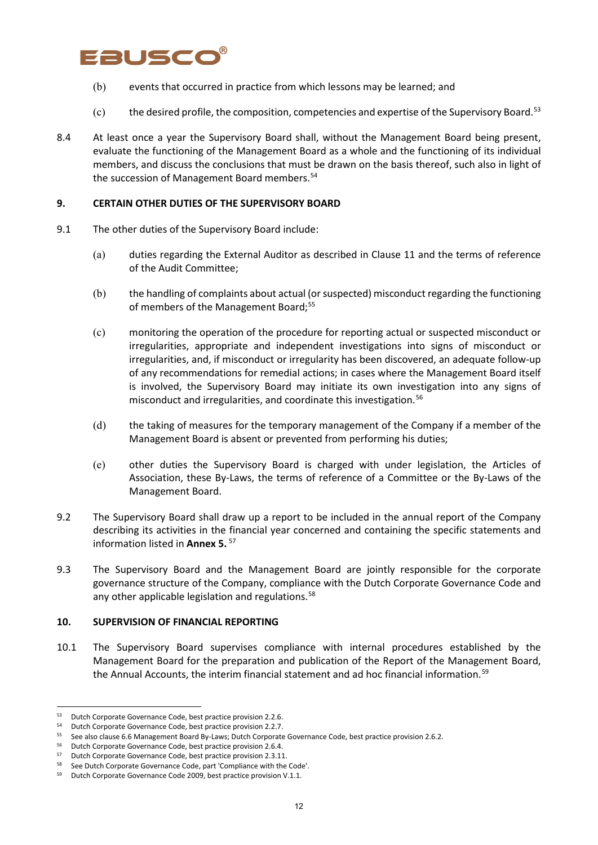# Fausco

- (b) events that occurred in practice from which lessons may be learned; and
- (c) the desired profile, the composition, competencies and expertise of the Supervisory Board.<sup>[53](#page-11-0)</sup>
- 8.4 At least once a year the Supervisory Board shall, without the Management Board being present, evaluate the functioning of the Management Board as a whole and the functioning of its individual members, and discuss the conclusions that must be drawn on the basis thereof, such also in light of the succession of Management Board members.<sup>[54](#page-11-1)</sup>

### **9. CERTAIN OTHER DUTIES OF THE SUPERVISORY BOARD**

- 9.1 The other duties of the Supervisory Board include:
	- (a) duties regarding the External Auditor as described in Clause 11 and the terms of reference of the Audit Committee;
	- (b) the handling of complaints about actual (or suspected) misconduct regarding the functioning of members of the Management Board;<sup>[55](#page-11-2)</sup>
	- (c) monitoring the operation of the procedure for reporting actual or suspected misconduct or irregularities, appropriate and independent investigations into signs of misconduct or irregularities, and, if misconduct or irregularity has been discovered, an adequate follow-up of any recommendations for remedial actions; in cases where the Management Board itself is involved, the Supervisory Board may initiate its own investigation into any signs of misconduct and irregularities, and coordinate this investigation.<sup>[56](#page-11-3)</sup>
	- (d) the taking of measures for the temporary management of the Company if a member of the Management Board is absent or prevented from performing his duties;
	- (e) other duties the Supervisory Board is charged with under legislation, the Articles of Association, these By-Laws, the terms of reference of a Committee or the By-Laws of the Management Board.
- 9.2 The Supervisory Board shall draw up a report to be included in the annual report of the Company describing its activities in the financial year concerned and containing the specific statements and information listed in **Annex 5.** [57](#page-11-4)
- 9.3 The Supervisory Board and the Management Board are jointly responsible for the corporate governance structure of the Company, compliance with the Dutch Corporate Governance Code and any other applicable legislation and regulations.<sup>[58](#page-11-5)</sup>

#### **10. SUPERVISION OF FINANCIAL REPORTING**

10.1 The Supervisory Board supervises compliance with internal procedures established by the Management Board for the preparation and publication of the Report of the Management Board, the Annual Accounts, the interim financial statement and ad hoc financial information.<sup>[59](#page-11-6)</sup>

<span id="page-11-0"></span><sup>53</sup> Dutch Corporate Governance Code, best practice provision 2.2.6.

<span id="page-11-1"></span><sup>54</sup> Dutch Corporate Governance Code, best practice provision 2.2.7.

<span id="page-11-2"></span><sup>55</sup> See also clause 6.6 Management Board By-Laws; Dutch Corporate Governance Code, best practice provision 2.6.2.

<span id="page-11-3"></span><sup>56</sup> Dutch Corporate Governance Code, best practice provision 2.6.4.

<span id="page-11-4"></span><sup>57</sup> Dutch Corporate Governance Code, best practice provision 2.3.11.

<span id="page-11-5"></span><sup>58</sup> See Dutch Corporate Governance Code, part 'Compliance with the Code'.

<span id="page-11-6"></span><sup>59</sup> Dutch Corporate Governance Code 2009, best practice provision V.1.1.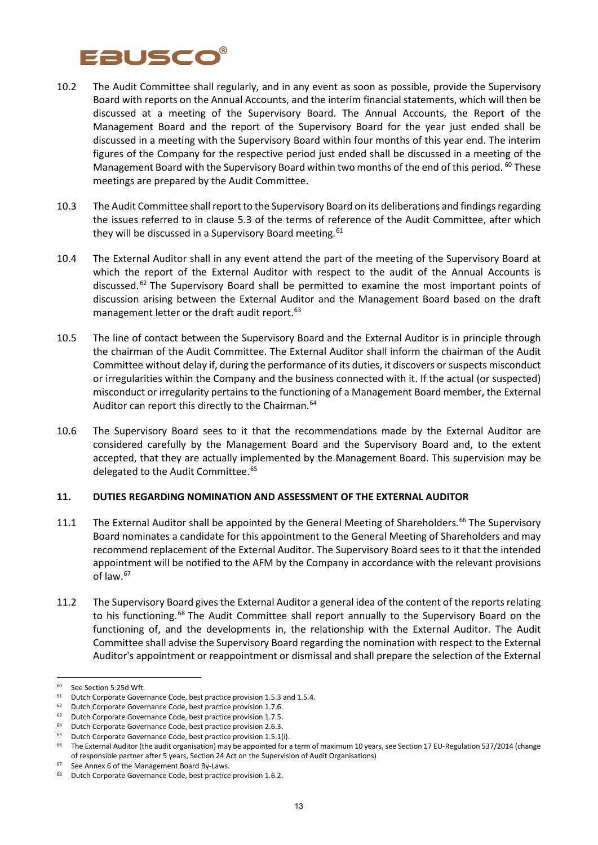# **ausco**

- 10.2 The Audit Committee shall regularly, and in any event as soon as possible, provide the Supervisory Board with reports on the Annual Accounts, and the interim financial statements, which will then be discussed at a meeting of the Supervisory Board. The Annual Accounts, the Report of the Management Board and the report of the Supervisory Board for the year just ended shall be discussed in a meeting with the Supervisory Board within four months of this year end. The interim figures of the Company for the respective period just ended shall be discussed in a meeting of the Management Board with the Supervisory Board within two months of the end of this period. <sup>[60](#page-12-0)</sup> These meetings are prepared by the Audit Committee.
- 10.3 The Audit Committee shall report to the Supervisory Board on its deliberations and findings regarding the issues referred to in clause 5.3 of the terms of reference of the Audit Committee, after which they will be discussed in a Supervisory Board meeting.<sup>[61](#page-12-1)</sup>
- 10.4 The External Auditor shall in any event attend the part of the meeting of the Supervisory Board at which the report of the External Auditor with respect to the audit of the Annual Accounts is discussed.<sup>[62](#page-12-2)</sup> The Supervisory Board shall be permitted to examine the most important points of discussion arising between the External Auditor and the Management Board based on the draft management letter or the draft audit report.<sup>[63](#page-12-3)</sup>
- 10.5 The line of contact between the Supervisory Board and the External Auditor is in principle through the chairman of the Audit Committee. The External Auditor shall inform the chairman of the Audit Committee without delay if, during the performance of its duties, it discovers or suspects misconduct or irregularities within the Company and the business connected with it. If the actual (or suspected) misconduct or irregularity pertains to the functioning of a Management Board member, the External Auditor can report this directly to the Chairman.<sup>[64](#page-12-4)</sup>
- 10.6 The Supervisory Board sees to it that the recommendations made by the External Auditor are considered carefully by the Management Board and the Supervisory Board and, to the extent accepted, that they are actually implemented by the Management Board. This supervision may be delegated to the Audit Committee.<sup>[65](#page-12-5)</sup>

#### **11. DUTIES REGARDING NOMINATION AND ASSESSMENT OF THE EXTERNAL AUDITOR**

- 11.1 The External Auditor shall be appointed by the General Meeting of Shareholders.<sup>[66](#page-12-6)</sup> The Supervisory Board nominates a candidate for this appointment to the General Meeting of Shareholders and may recommend replacement of the External Auditor. The Supervisory Board sees to it that the intended appointment will be notified to the AFM by the Company in accordance with the relevant provisions of law.<sup>[67](#page-12-7)</sup>
- 11.2 The Supervisory Board gives the External Auditor a general idea of the content of the reports relating to his functioning.<sup>[68](#page-12-8)</sup> The Audit Committee shall report annually to the Supervisory Board on the functioning of, and the developments in, the relationship with the External Auditor. The Audit Committee shall advise the Supervisory Board regarding the nomination with respect to the External Auditor's appointment or reappointment or dismissal and shall prepare the selection of the External

<span id="page-12-0"></span><sup>60</sup> See Section 5:25d Wft.

<span id="page-12-1"></span> $61$  Dutch Corporate Governance Code, best practice provision 1.5.3 and 1.5.4.

<span id="page-12-2"></span><sup>&</sup>lt;sup>62</sup> Dutch Corporate Governance Code, best practice provision 1.7.6.<br><sup>63</sup> Dutch Corporate Governance Code, best practice provision 1.7.5

Dutch Corporate Governance Code, best practice provision 1.7.5.

<span id="page-12-4"></span><span id="page-12-3"></span><sup>&</sup>lt;sup>64</sup> Dutch Corporate Governance Code, best practice provision 2.6.3.

<span id="page-12-5"></span> $65$  Dutch Corporate Governance Code, best practice provision 1.5.1(i).

<span id="page-12-6"></span><sup>&</sup>lt;sup>66</sup> The External Auditor (the audit organisation) may be appointed for a term of maximum 10 years, see Section 17 EU-Regulation 537/2014 (change of responsible partner after 5 years, Section 24 Act on the Supervision of Audit Organisations)

<span id="page-12-7"></span><sup>&</sup>lt;sup>67</sup> See Annex 6 of the Management Board By-Laws.

<span id="page-12-8"></span><sup>68</sup> Dutch Corporate Governance Code, best practice provision 1.6.2.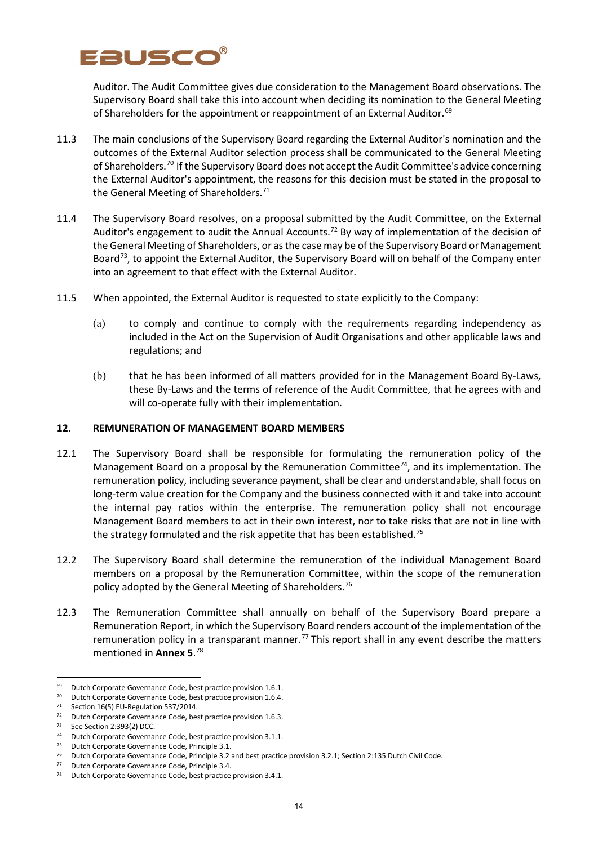# Eauscc

Auditor. The Audit Committee gives due consideration to the Management Board observations. The Supervisory Board shall take this into account when deciding its nomination to the General Meeting of Shareholders for the appointment or reappointment of an External Auditor.<sup>[69](#page-13-0)</sup>

- 11.3 The main conclusions of the Supervisory Board regarding the External Auditor's nomination and the outcomes of the External Auditor selection process shall be communicated to the General Meeting of Shareholders.<sup>[70](#page-13-1)</sup> If the Supervisory Board does not accept the Audit Committee's advice concerning the External Auditor's appointment, the reasons for this decision must be stated in the proposal to the General Meeting of Shareholders.<sup>[71](#page-13-2)</sup>
- 11.4 The Supervisory Board resolves, on a proposal submitted by the Audit Committee, on the External Auditor's engagement to audit the Annual Accounts.<sup>[72](#page-13-3)</sup> By way of implementation of the decision of the General Meeting of Shareholders, or as the case may be of the Supervisory Board or Management Board<sup>73</sup>, to appoint the External Auditor, the Supervisory Board will on behalf of the Company enter into an agreement to that effect with the External Auditor.
- 11.5 When appointed, the External Auditor is requested to state explicitly to the Company:
	- (a) to comply and continue to comply with the requirements regarding independency as included in the Act on the Supervision of Audit Organisations and other applicable laws and regulations; and
	- (b) that he has been informed of all matters provided for in the Management Board By-Laws, these By-Laws and the terms of reference of the Audit Committee, that he agrees with and will co-operate fully with their implementation.

### **12. REMUNERATION OF MANAGEMENT BOARD MEMBERS**

- 12.1 The Supervisory Board shall be responsible for formulating the remuneration policy of the Management Board on a proposal by the Remuneration Committee<sup>74</sup>, and its implementation. The remuneration policy, including severance payment, shall be clear and understandable, shall focus on long-term value creation for the Company and the business connected with it and take into account the internal pay ratios within the enterprise. The remuneration policy shall not encourage Management Board members to act in their own interest, nor to take risks that are not in line with the strategy formulated and the risk appetite that has been established.<sup>[75](#page-13-6)</sup>
- 12.2 The Supervisory Board shall determine the remuneration of the individual Management Board members on a proposal by the Remuneration Committee, within the scope of the remuneration policy adopted by the General Meeting of Shareholders.<sup>[76](#page-13-7)</sup>
- 12.3 The Remuneration Committee shall annually on behalf of the Supervisory Board prepare a Remuneration Report, in which the Supervisory Board renders account of the implementation of the remuneration policy in a transparant manner.<sup>[77](#page-13-8)</sup> This report shall in any event describe the matters mentioned in **Annex 5**. [78](#page-13-9)

<span id="page-13-0"></span><sup>69</sup> Dutch Corporate Governance Code, best practice provision 1.6.1.

<sup>70</sup> Dutch Corporate Governance Code, best practice provision 1.6.4.

<span id="page-13-2"></span><span id="page-13-1"></span><sup>71</sup> Section 16(5) EU-Regulation 537/2014.

<span id="page-13-3"></span><sup>&</sup>lt;sup>72</sup> Dutch Corporate Governance Code, best practice provision 1.6.3.

<span id="page-13-4"></span><sup>73</sup> See Section 2:393(2) DCC.

<span id="page-13-5"></span><sup>74</sup> Dutch Corporate Governance Code, best practice provision 3.1.1.

<span id="page-13-6"></span><sup>&</sup>lt;sup>75</sup> Dutch Corporate Governance Code, Principle 3.1.<br> $^{76}$  Dutch Corporate Governance Code, Principle 3.2.2

<sup>76</sup> Dutch Corporate Governance Code, Principle 3.2 and best practice provision 3.2.1; Section 2:135 Dutch Civil Code.

<span id="page-13-8"></span><span id="page-13-7"></span><sup>77</sup> Dutch Corporate Governance Code, Principle 3.4.

<span id="page-13-9"></span><sup>78</sup> Dutch Corporate Governance Code, best practice provision 3.4.1.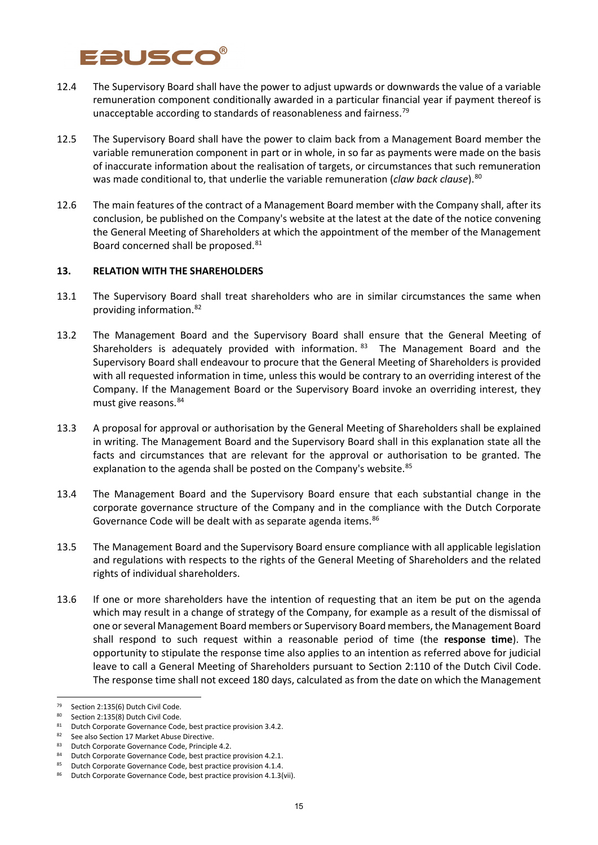# Eausco

- 12.4 The Supervisory Board shall have the power to adjust upwards or downwards the value of a variable remuneration component conditionally awarded in a particular financial year if payment thereof is unacceptable according to standards of reasonableness and fairness.<sup>[79](#page-14-0)</sup>
- 12.5 The Supervisory Board shall have the power to claim back from a Management Board member the variable remuneration component in part or in whole, in so far as payments were made on the basis of inaccurate information about the realisation of targets, or circumstances that such remuneration was made conditional to, that underlie the variable remuneration (*claw back clause*).<sup>[80](#page-14-1)</sup>
- 12.6 The main features of the contract of a Management Board member with the Company shall, after its conclusion, be published on the Company's website at the latest at the date of the notice convening the General Meeting of Shareholders at which the appointment of the member of the Management Board concerned shall be proposed.<sup>[81](#page-14-2)</sup>

### **13. RELATION WITH THE SHAREHOLDERS**

- 13.1 The Supervisory Board shall treat shareholders who are in similar circumstances the same when providing information. [82](#page-14-3)
- 13.2 The Management Board and the Supervisory Board shall ensure that the General Meeting of Shareholders is adequately provided with information. [83](#page-14-4) The Management Board and the Supervisory Board shall endeavour to procure that the General Meeting of Shareholders is provided with all requested information in time, unless this would be contrary to an overriding interest of the Company. If the Management Board or the Supervisory Board invoke an overriding interest, they must give reasons.[84](#page-14-5)
- 13.3 A proposal for approval or authorisation by the General Meeting of Shareholders shall be explained in writing. The Management Board and the Supervisory Board shall in this explanation state all the facts and circumstances that are relevant for the approval or authorisation to be granted. The explanation to the agenda shall be posted on the Company's website.<sup>[85](#page-14-6)</sup>
- 13.4 The Management Board and the Supervisory Board ensure that each substantial change in the corporate governance structure of the Company and in the compliance with the Dutch Corporate Governance Code will be dealt with as separate agenda items.<sup>[86](#page-14-7)</sup>
- 13.5 The Management Board and the Supervisory Board ensure compliance with all applicable legislation and regulations with respects to the rights of the General Meeting of Shareholders and the related rights of individual shareholders.
- 13.6 If one or more shareholders have the intention of requesting that an item be put on the agenda which may result in a change of strategy of the Company, for example as a result of the dismissal of one or several Management Board members or Supervisory Board members, the Management Board shall respond to such request within a reasonable period of time (the **response time**). The opportunity to stipulate the response time also applies to an intention as referred above for judicial leave to call a General Meeting of Shareholders pursuant to Section 2:110 of the Dutch Civil Code. The response time shall not exceed 180 days, calculated as from the date on which the Management

<span id="page-14-0"></span><sup>&</sup>lt;sup>79</sup> Section 2:135(6) Dutch Civil Code.<br><sup>80</sup> Section 2:135(8) Dutch Civil Code.

Section 2:135(8) Dutch Civil Code.

<span id="page-14-3"></span><span id="page-14-2"></span><span id="page-14-1"></span><sup>&</sup>lt;sup>81</sup> Dutch Corporate Governance Code, best practice provision 3.4.2.<br><sup>82</sup> See also Section 17 Market Abuse Directive.

<span id="page-14-4"></span><sup>83</sup> Dutch Corporate Governance Code, Principle 4.2.

Dutch Corporate Governance Code, best practice provision 4.2.1.

<span id="page-14-6"></span><span id="page-14-5"></span><sup>85</sup> Dutch Corporate Governance Code, best practice provision 4.1.4.

<span id="page-14-7"></span><sup>86</sup> Dutch Corporate Governance Code, best practice provision 4.1.3(vii).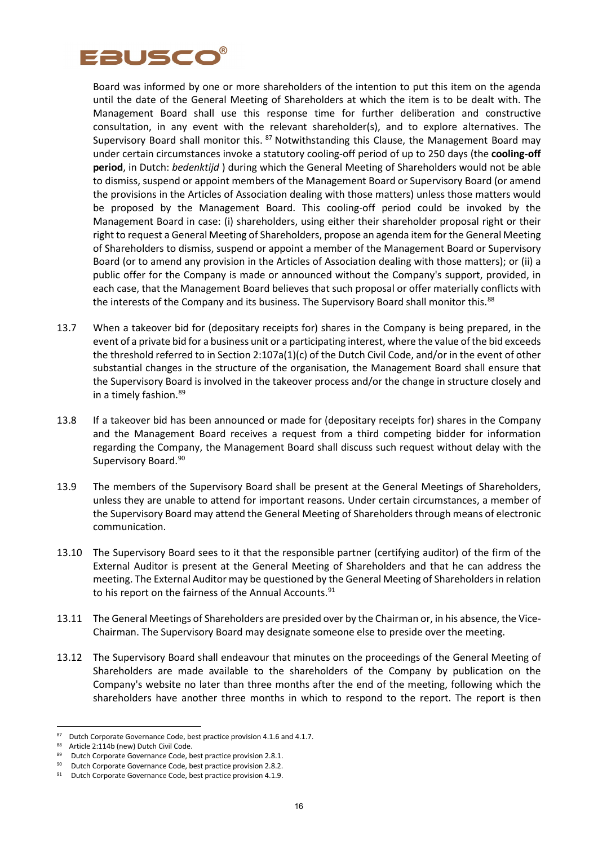

Board was informed by one or more shareholders of the intention to put this item on the agenda until the date of the General Meeting of Shareholders at which the item is to be dealt with. The Management Board shall use this response time for further deliberation and constructive consultation, in any event with the relevant shareholder(s), and to explore alternatives. The Supervisory Board shall monitor this. <sup>[87](#page-15-0)</sup> Notwithstanding this Clause, the Management Board may under certain circumstances invoke a statutory cooling-off period of up to 250 days (the **cooling-off period**, in Dutch: *bedenktijd* ) during which the General Meeting of Shareholders would not be able to dismiss, suspend or appoint members of the Management Board or Supervisory Board (or amend the provisions in the Articles of Association dealing with those matters) unless those matters would be proposed by the Management Board. This cooling-off period could be invoked by the Management Board in case: (i) shareholders, using either their shareholder proposal right or their right to request a General Meeting of Shareholders, propose an agenda item for the General Meeting of Shareholders to dismiss, suspend or appoint a member of the Management Board or Supervisory Board (or to amend any provision in the Articles of Association dealing with those matters); or (ii) a public offer for the Company is made or announced without the Company's support, provided, in each case, that the Management Board believes that such proposal or offer materially conflicts with the interests of the Company and its business. The Supervisory Board shall monitor this.<sup>[88](#page-15-1)</sup>

- 13.7 When a takeover bid for (depositary receipts for) shares in the Company is being prepared, in the event of a private bid for a business unit or a participating interest, where the value of the bid exceeds the threshold referred to in Section 2:107a(1)(c) of the Dutch Civil Code, and/or in the event of other substantial changes in the structure of the organisation, the Management Board shall ensure that the Supervisory Board is involved in the takeover process and/or the change in structure closely and in a timely fashion. [89](#page-15-2)
- 13.8 If a takeover bid has been announced or made for (depositary receipts for) shares in the Company and the Management Board receives a request from a third competing bidder for information regarding the Company, the Management Board shall discuss such request without delay with the Supervisory Board.<sup>90</sup>
- 13.9 The members of the Supervisory Board shall be present at the General Meetings of Shareholders, unless they are unable to attend for important reasons. Under certain circumstances, a member of the Supervisory Board may attend the General Meeting of Shareholders through means of electronic communication.
- 13.10 The Supervisory Board sees to it that the responsible partner (certifying auditor) of the firm of the External Auditor is present at the General Meeting of Shareholders and that he can address the meeting. The External Auditor may be questioned by the General Meeting of Shareholders in relation to his report on the fairness of the Annual Accounts.<sup>[91](#page-15-4)</sup>
- 13.11 The General Meetings of Shareholders are presided over by the Chairman or, in his absence, the Vice-Chairman. The Supervisory Board may designate someone else to preside over the meeting.
- 13.12 The Supervisory Board shall endeavour that minutes on the proceedings of the General Meeting of Shareholders are made available to the shareholders of the Company by publication on the Company's website no later than three months after the end of the meeting, following which the shareholders have another three months in which to respond to the report. The report is then

<span id="page-15-0"></span><sup>87</sup> Dutch Corporate Governance Code, best practice provision 4.1.6 and 4.1.7.

<span id="page-15-1"></span><sup>88</sup> Article 2:114b (new) Dutch Civil Code.

<span id="page-15-2"></span><sup>89</sup> Dutch Corporate Governance Code, best practice provision 2.8.1.

<sup>90</sup> Dutch Corporate Governance Code, best practice provision 2.8.2.

<span id="page-15-4"></span><span id="page-15-3"></span><sup>91</sup> Dutch Corporate Governance Code, best practice provision 4.1.9.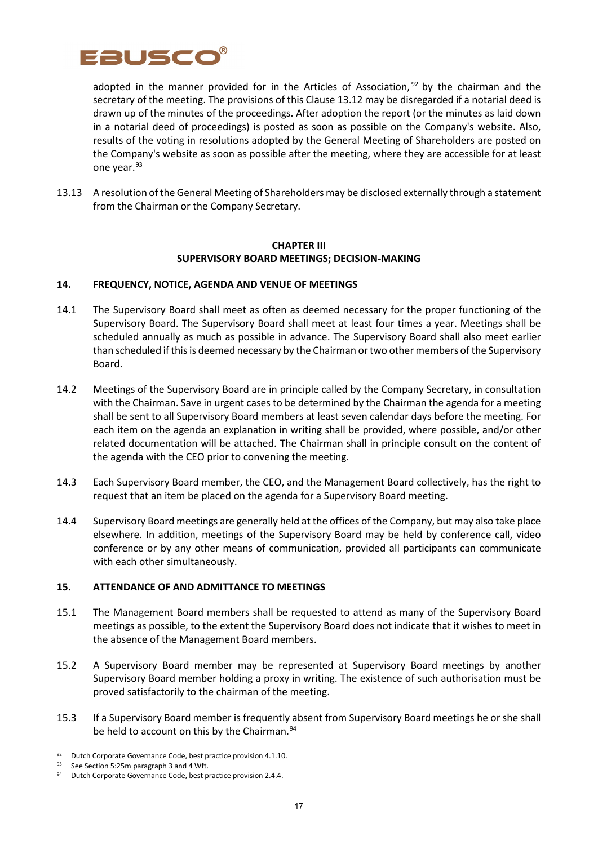

adopted in the manner provided for in the Articles of Association,  $92$  by the chairman and the secretary of the meeting. The provisions of this Clause 13.12 may be disregarded if a notarial deed is drawn up of the minutes of the proceedings. After adoption the report (or the minutes as laid down in a notarial deed of proceedings) is posted as soon as possible on the Company's website. Also, results of the voting in resolutions adopted by the General Meeting of Shareholders are posted on the Company's website as soon as possible after the meeting, where they are accessible for at least one year.<sup>[93](#page-16-1)</sup>

13.13 A resolution of the General Meeting of Shareholders may be disclosed externally through a statement from the Chairman or the Company Secretary.

### **CHAPTER III SUPERVISORY BOARD MEETINGS; DECISION-MAKING**

#### **14. FREQUENCY, NOTICE, AGENDA AND VENUE OF MEETINGS**

- 14.1 The Supervisory Board shall meet as often as deemed necessary for the proper functioning of the Supervisory Board. The Supervisory Board shall meet at least four times a year. Meetings shall be scheduled annually as much as possible in advance. The Supervisory Board shall also meet earlier than scheduled if this is deemed necessary by the Chairman ortwo other members of the Supervisory Board.
- 14.2 Meetings of the Supervisory Board are in principle called by the Company Secretary, in consultation with the Chairman. Save in urgent cases to be determined by the Chairman the agenda for a meeting shall be sent to all Supervisory Board members at least seven calendar days before the meeting. For each item on the agenda an explanation in writing shall be provided, where possible, and/or other related documentation will be attached. The Chairman shall in principle consult on the content of the agenda with the CEO prior to convening the meeting.
- 14.3 Each Supervisory Board member, the CEO, and the Management Board collectively, has the right to request that an item be placed on the agenda for a Supervisory Board meeting.
- 14.4 Supervisory Board meetings are generally held at the offices of the Company, but may also take place elsewhere. In addition, meetings of the Supervisory Board may be held by conference call, video conference or by any other means of communication, provided all participants can communicate with each other simultaneously.

#### **15. ATTENDANCE OF AND ADMITTANCE TO MEETINGS**

- 15.1 The Management Board members shall be requested to attend as many of the Supervisory Board meetings as possible, to the extent the Supervisory Board does not indicate that it wishes to meet in the absence of the Management Board members.
- 15.2 A Supervisory Board member may be represented at Supervisory Board meetings by another Supervisory Board member holding a proxy in writing. The existence of such authorisation must be proved satisfactorily to the chairman of the meeting.
- 15.3 If a Supervisory Board member is frequently absent from Supervisory Board meetings he or she shall be held to account on this by the Chairman.<sup>[94](#page-16-2)</sup>

<sup>92</sup> Dutch Corporate Governance Code, best practice provision 4.1.10.

<span id="page-16-2"></span><span id="page-16-1"></span><span id="page-16-0"></span><sup>93</sup> See Section 5:25m paragraph 3 and 4 Wft.<br>94 Dutch Corporate Governance Code, best practice provision 2.4.4.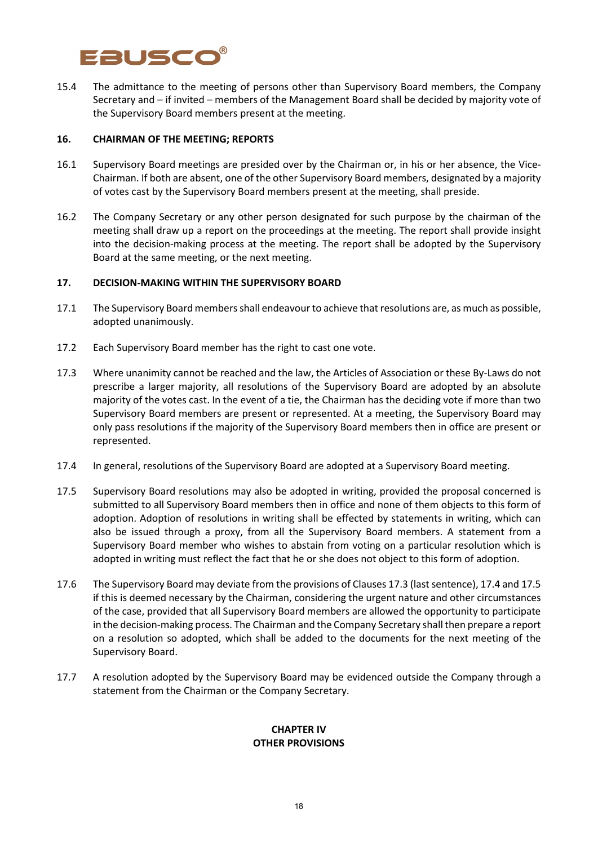

15.4 The admittance to the meeting of persons other than Supervisory Board members, the Company Secretary and – if invited – members of the Management Board shall be decided by majority vote of the Supervisory Board members present at the meeting.

#### **16. CHAIRMAN OF THE MEETING; REPORTS**

- 16.1 Supervisory Board meetings are presided over by the Chairman or, in his or her absence, the Vice-Chairman. If both are absent, one of the other Supervisory Board members, designated by a majority of votes cast by the Supervisory Board members present at the meeting, shall preside.
- 16.2 The Company Secretary or any other person designated for such purpose by the chairman of the meeting shall draw up a report on the proceedings at the meeting. The report shall provide insight into the decision-making process at the meeting. The report shall be adopted by the Supervisory Board at the same meeting, or the next meeting.

#### **17. DECISION-MAKING WITHIN THE SUPERVISORY BOARD**

- 17.1 The Supervisory Board members shall endeavour to achieve that resolutions are, as much as possible, adopted unanimously.
- 17.2 Each Supervisory Board member has the right to cast one vote.
- 17.3 Where unanimity cannot be reached and the law, the Articles of Association or these By-Laws do not prescribe a larger majority, all resolutions of the Supervisory Board are adopted by an absolute majority of the votes cast. In the event of a tie, the Chairman has the deciding vote if more than two Supervisory Board members are present or represented. At a meeting, the Supervisory Board may only pass resolutions if the majority of the Supervisory Board members then in office are present or represented.
- 17.4 In general, resolutions of the Supervisory Board are adopted at a Supervisory Board meeting.
- 17.5 Supervisory Board resolutions may also be adopted in writing, provided the proposal concerned is submitted to all Supervisory Board members then in office and none of them objects to this form of adoption. Adoption of resolutions in writing shall be effected by statements in writing, which can also be issued through a proxy, from all the Supervisory Board members. A statement from a Supervisory Board member who wishes to abstain from voting on a particular resolution which is adopted in writing must reflect the fact that he or she does not object to this form of adoption.
- 17.6 The Supervisory Board may deviate from the provisions of Clauses 17.3 (last sentence), 17.4 and 17.5 if this is deemed necessary by the Chairman, considering the urgent nature and other circumstances of the case, provided that all Supervisory Board members are allowed the opportunity to participate in the decision-making process. The Chairman and the Company Secretary shall then prepare a report on a resolution so adopted, which shall be added to the documents for the next meeting of the Supervisory Board.
- 17.7 A resolution adopted by the Supervisory Board may be evidenced outside the Company through a statement from the Chairman or the Company Secretary.

#### **CHAPTER IV OTHER PROVISIONS**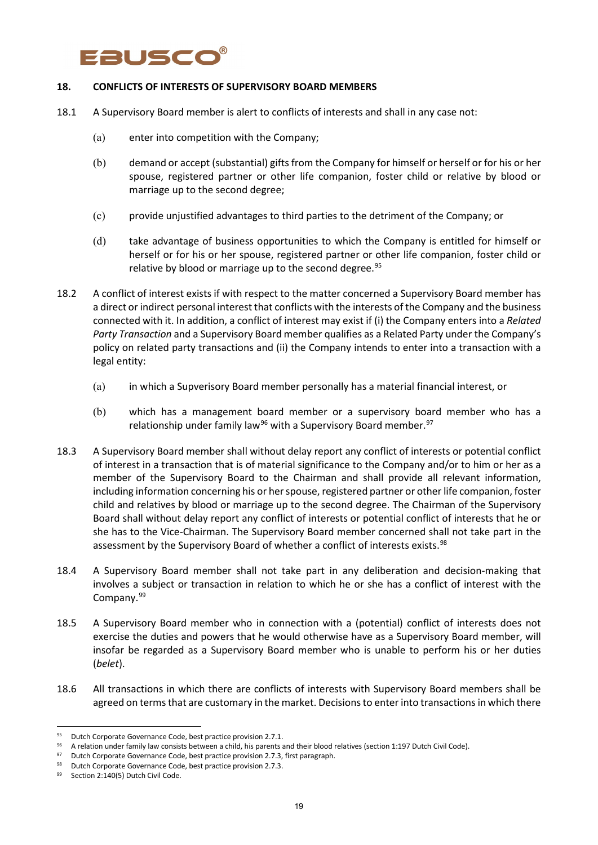# **ausco**

### **18. CONFLICTS OF INTERESTS OF SUPERVISORY BOARD MEMBERS**

- 18.1 A Supervisory Board member is alert to conflicts of interests and shall in any case not:
	- (a) enter into competition with the Company;
	- (b) demand or accept (substantial) gifts from the Company for himself or herself or for his or her spouse, registered partner or other life companion, foster child or relative by blood or marriage up to the second degree;
	- (c) provide unjustified advantages to third parties to the detriment of the Company; or
	- (d) take advantage of business opportunities to which the Company is entitled for himself or herself or for his or her spouse, registered partner or other life companion, foster child or relative by blood or marriage up to the second degree.<sup>[95](#page-18-0)</sup>
- 18.2 A conflict of interest exists if with respect to the matter concerned a Supervisory Board member has a direct or indirect personal interest that conflicts with the interests of the Company and the business connected with it. In addition, a conflict of interest may exist if (i) the Company enters into a *Related Party Transaction* and a Supervisory Board member qualifies as a Related Party under the Company's policy on related party transactions and (ii) the Company intends to enter into a transaction with a legal entity:
	- (a) in which a Supverisory Board member personally has a material financial interest, or
	- (b) which has a management board member or a supervisory board member who has a relationship under family law<sup>[96](#page-18-1)</sup> with a Supervisory Board member.<sup>[97](#page-18-2)</sup>
- 18.3 A Supervisory Board member shall without delay report any conflict of interests or potential conflict of interest in a transaction that is of material significance to the Company and/or to him or her as a member of the Supervisory Board to the Chairman and shall provide all relevant information, including information concerning his or her spouse, registered partner or other life companion, foster child and relatives by blood or marriage up to the second degree. The Chairman of the Supervisory Board shall without delay report any conflict of interests or potential conflict of interests that he or she has to the Vice-Chairman. The Supervisory Board member concerned shall not take part in the assessment by the Supervisory Board of whether a conflict of interests exists.<sup>[98](#page-18-3)</sup>
- 18.4 A Supervisory Board member shall not take part in any deliberation and decision-making that involves a subject or transaction in relation to which he or she has a conflict of interest with the Company.<sup>[99](#page-18-4)</sup>
- 18.5 A Supervisory Board member who in connection with a (potential) conflict of interests does not exercise the duties and powers that he would otherwise have as a Supervisory Board member, will insofar be regarded as a Supervisory Board member who is unable to perform his or her duties (*belet*).
- 18.6 All transactions in which there are conflicts of interests with Supervisory Board members shall be agreed on terms that are customary in the market. Decisions to enter into transactions in which there

<span id="page-18-0"></span><sup>95</sup> Dutch Corporate Governance Code, best practice provision 2.7.1.

<span id="page-18-1"></span><sup>96</sup> A relation under family law consists between a child, his parents and their blood relatives (section 1:197 Dutch Civil Code).

<span id="page-18-2"></span><sup>97</sup> Dutch Corporate Governance Code, best practice provision 2.7.3, first paragraph.

<span id="page-18-3"></span><sup>98</sup> Dutch Corporate Governance Code, best practice provision 2.7.3.

<span id="page-18-4"></span><sup>99</sup> Section 2:140(5) Dutch Civil Code.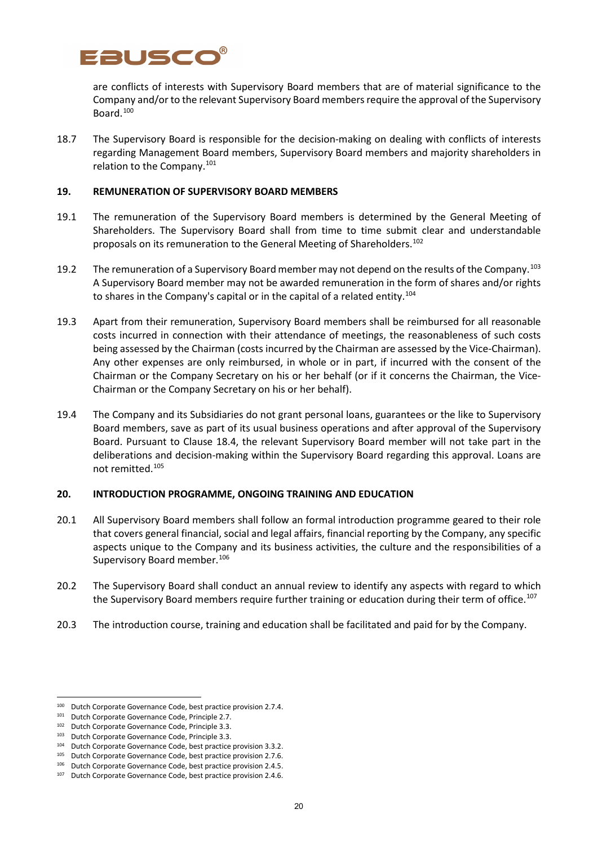

are conflicts of interests with Supervisory Board members that are of material significance to the Company and/or to the relevant Supervisory Board members require the approval of the Supervisory Board.[100](#page-19-0)

18.7 The Supervisory Board is responsible for the decision-making on dealing with conflicts of interests regarding Management Board members, Supervisory Board members and majority shareholders in relation to the Company.[101](#page-19-1)

#### **19. REMUNERATION OF SUPERVISORY BOARD MEMBERS**

- 19.1 The remuneration of the Supervisory Board members is determined by the General Meeting of Shareholders. The Supervisory Board shall from time to time submit clear and understandable proposals on its remuneration to the General Meeting of Shareholders.<sup>[102](#page-19-2)</sup>
- 19.2 The remuneration of a Supervisory Board member may not depend on the results of the Company.<sup>[103](#page-19-3)</sup> A Supervisory Board member may not be awarded remuneration in the form of shares and/or rights to shares in the Company's capital or in the capital of a related entity.<sup>[104](#page-19-4)</sup>
- 19.3 Apart from their remuneration, Supervisory Board members shall be reimbursed for all reasonable costs incurred in connection with their attendance of meetings, the reasonableness of such costs being assessed by the Chairman (costs incurred by the Chairman are assessed by the Vice-Chairman). Any other expenses are only reimbursed, in whole or in part, if incurred with the consent of the Chairman or the Company Secretary on his or her behalf (or if it concerns the Chairman, the Vice-Chairman or the Company Secretary on his or her behalf).
- 19.4 The Company and its Subsidiaries do not grant personal loans, guarantees or the like to Supervisory Board members, save as part of its usual business operations and after approval of the Supervisory Board. Pursuant to Clause 18.4, the relevant Supervisory Board member will not take part in the deliberations and decision-making within the Supervisory Board regarding this approval. Loans are not remitted.[105](#page-19-5)

#### **20. INTRODUCTION PROGRAMME, ONGOING TRAINING AND EDUCATION**

- 20.1 All Supervisory Board members shall follow an formal introduction programme geared to their role that covers general financial, social and legal affairs, financial reporting by the Company, any specific aspects unique to the Company and its business activities, the culture and the responsibilities of a Supervisory Board member.<sup>[106](#page-19-6)</sup>
- 20.2 The Supervisory Board shall conduct an annual review to identify any aspects with regard to which the Supervisory Board members require further training or education during their term of office[.107](#page-19-7)
- 20.3 The introduction course, training and education shall be facilitated and paid for by the Company.

<span id="page-19-0"></span><sup>100</sup> Dutch Corporate Governance Code, best practice provision 2.7.4.

<sup>101</sup> Dutch Corporate Governance Code, Principle 2.7.

<span id="page-19-2"></span><span id="page-19-1"></span><sup>&</sup>lt;sup>102</sup> Dutch Corporate Governance Code, Principle 3.3.

<span id="page-19-3"></span><sup>103</sup> Dutch Corporate Governance Code, Principle 3.3.

<span id="page-19-4"></span><sup>104</sup> Dutch Corporate Governance Code, best practice provision 3.3.2.

<sup>105</sup> Dutch Corporate Governance Code, best practice provision 2.7.6.

<span id="page-19-6"></span><span id="page-19-5"></span><sup>106</sup> Dutch Corporate Governance Code, best practice provision 2.4.5.

<span id="page-19-7"></span><sup>&</sup>lt;sup>107</sup> Dutch Corporate Governance Code, best practice provision 2.4.6.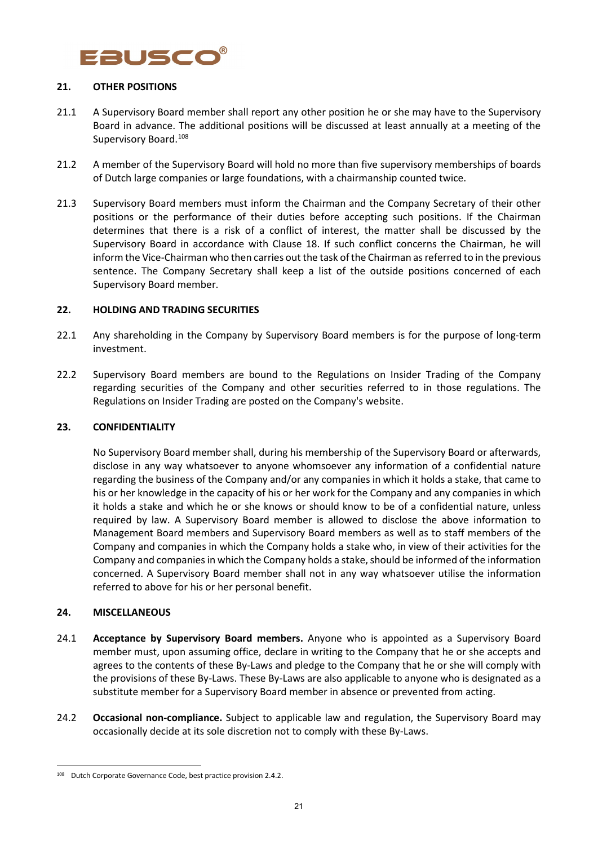

#### **21. OTHER POSITIONS**

- 21.1 A Supervisory Board member shall report any other position he or she may have to the Supervisory Board in advance. The additional positions will be discussed at least annually at a meeting of the Supervisory Board.<sup>108</sup>
- 21.2 A member of the Supervisory Board will hold no more than five supervisory memberships of boards of Dutch large companies or large foundations, with a chairmanship counted twice.
- 21.3 Supervisory Board members must inform the Chairman and the Company Secretary of their other positions or the performance of their duties before accepting such positions. If the Chairman determines that there is a risk of a conflict of interest, the matter shall be discussed by the Supervisory Board in accordance with Clause 18. If such conflict concerns the Chairman, he will inform the Vice-Chairman who then carries out the task of the Chairman as referred to in the previous sentence. The Company Secretary shall keep a list of the outside positions concerned of each Supervisory Board member.

#### **22. HOLDING AND TRADING SECURITIES**

- 22.1 Any shareholding in the Company by Supervisory Board members is for the purpose of long-term investment.
- 22.2 Supervisory Board members are bound to the Regulations on Insider Trading of the Company regarding securities of the Company and other securities referred to in those regulations. The Regulations on Insider Trading are posted on the Company's website.

#### **23. CONFIDENTIALITY**

No Supervisory Board member shall, during his membership of the Supervisory Board or afterwards, disclose in any way whatsoever to anyone whomsoever any information of a confidential nature regarding the business of the Company and/or any companies in which it holds a stake, that came to his or her knowledge in the capacity of his or her work for the Company and any companies in which it holds a stake and which he or she knows or should know to be of a confidential nature, unless required by law. A Supervisory Board member is allowed to disclose the above information to Management Board members and Supervisory Board members as well as to staff members of the Company and companies in which the Company holds a stake who, in view of their activities for the Company and companies in which the Company holds a stake, should be informed of the information concerned. A Supervisory Board member shall not in any way whatsoever utilise the information referred to above for his or her personal benefit.

#### **24. MISCELLANEOUS**

- 24.1 **Acceptance by Supervisory Board members.** Anyone who is appointed as a Supervisory Board member must, upon assuming office, declare in writing to the Company that he or she accepts and agrees to the contents of these By-Laws and pledge to the Company that he or she will comply with the provisions of these By-Laws. These By-Laws are also applicable to anyone who is designated as a substitute member for a Supervisory Board member in absence or prevented from acting.
- 24.2 **Occasional non-compliance.** Subject to applicable law and regulation, the Supervisory Board may occasionally decide at its sole discretion not to comply with these By-Laws.

<span id="page-20-0"></span><sup>108</sup> Dutch Corporate Governance Code, best practice provision 2.4.2.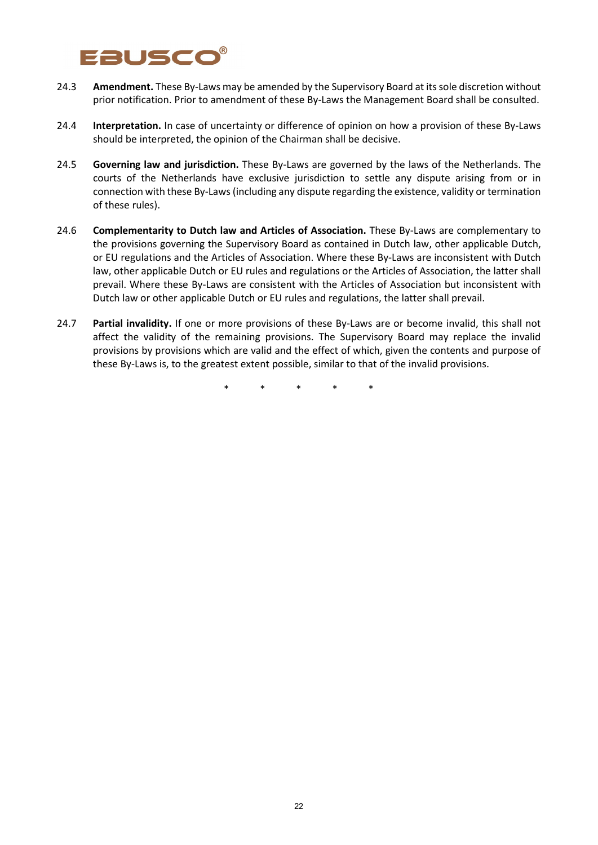# **ausc**o

- 24.3 **Amendment.** These By-Laws may be amended by the Supervisory Board at its sole discretion without prior notification. Prior to amendment of these By-Laws the Management Board shall be consulted.
- 24.4 **Interpretation.** In case of uncertainty or difference of opinion on how a provision of these By-Laws should be interpreted, the opinion of the Chairman shall be decisive.
- 24.5 **Governing law and jurisdiction.** These By-Laws are governed by the laws of the Netherlands. The courts of the Netherlands have exclusive jurisdiction to settle any dispute arising from or in connection with these By-Laws (including any dispute regarding the existence, validity or termination of these rules).
- 24.6 **Complementarity to Dutch law and Articles of Association.** These By-Laws are complementary to the provisions governing the Supervisory Board as contained in Dutch law, other applicable Dutch, or EU regulations and the Articles of Association. Where these By-Laws are inconsistent with Dutch law, other applicable Dutch or EU rules and regulations or the Articles of Association, the latter shall prevail. Where these By-Laws are consistent with the Articles of Association but inconsistent with Dutch law or other applicable Dutch or EU rules and regulations, the latter shall prevail.
- 24.7 **Partial invalidity.** If one or more provisions of these By-Laws are or become invalid, this shall not affect the validity of the remaining provisions. The Supervisory Board may replace the invalid provisions by provisions which are valid and the effect of which, given the contents and purpose of these By-Laws is, to the greatest extent possible, similar to that of the invalid provisions.

\* \* \* \* \*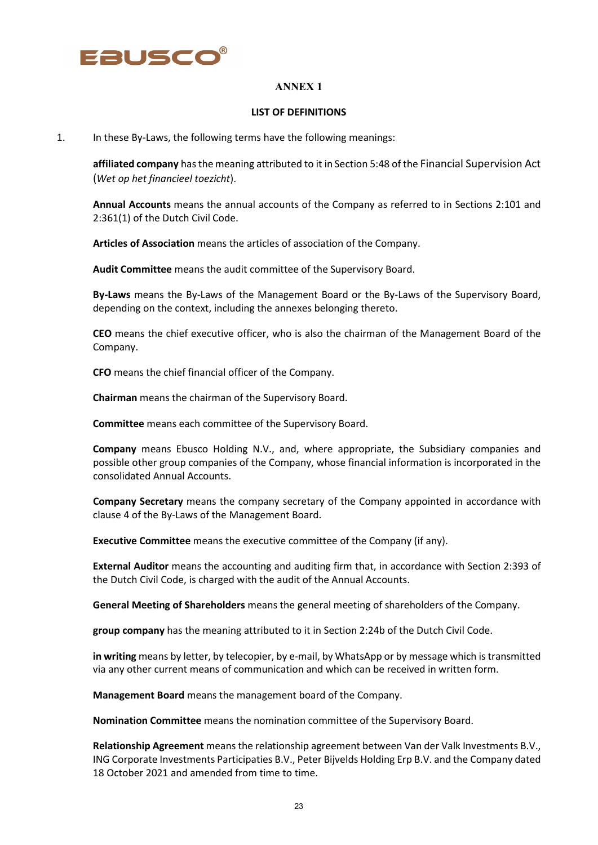

#### **LIST OF DEFINITIONS**

1. In these By-Laws, the following terms have the following meanings:

**affiliated company** has the meaning attributed to it in Section 5:48 of the Financial Supervision Act (*Wet op het financieel toezicht*).

**Annual Accounts** means the annual accounts of the Company as referred to in Sections 2:101 and 2:361(1) of the Dutch Civil Code.

**Articles of Association** means the articles of association of the Company.

**Audit Committee** means the audit committee of the Supervisory Board.

**By-Laws** means the By-Laws of the Management Board or the By-Laws of the Supervisory Board, depending on the context, including the annexes belonging thereto.

**CEO** means the chief executive officer, who is also the chairman of the Management Board of the Company.

**CFO** means the chief financial officer of the Company.

**Chairman** means the chairman of the Supervisory Board.

**Committee** means each committee of the Supervisory Board.

**Company** means Ebusco Holding N.V., and, where appropriate, the Subsidiary companies and possible other group companies of the Company, whose financial information is incorporated in the consolidated Annual Accounts.

**Company Secretary** means the company secretary of the Company appointed in accordance with clause 4 of the By-Laws of the Management Board.

**Executive Committee** means the executive committee of the Company (if any).

**External Auditor** means the accounting and auditing firm that, in accordance with Section 2:393 of the Dutch Civil Code, is charged with the audit of the Annual Accounts.

**General Meeting of Shareholders** means the general meeting of shareholders of the Company.

**group company** has the meaning attributed to it in Section 2:24b of the Dutch Civil Code.

**in writing** means by letter, by telecopier, by e-mail, by WhatsApp or by message which is transmitted via any other current means of communication and which can be received in written form.

**Management Board** means the management board of the Company.

**Nomination Committee** means the nomination committee of the Supervisory Board.

**Relationship Agreement** means the relationship agreement between Van der Valk Investments B.V., ING Corporate Investments Participaties B.V., Peter Bijvelds Holding Erp B.V. and the Company dated 18 October 2021 and amended from time to time.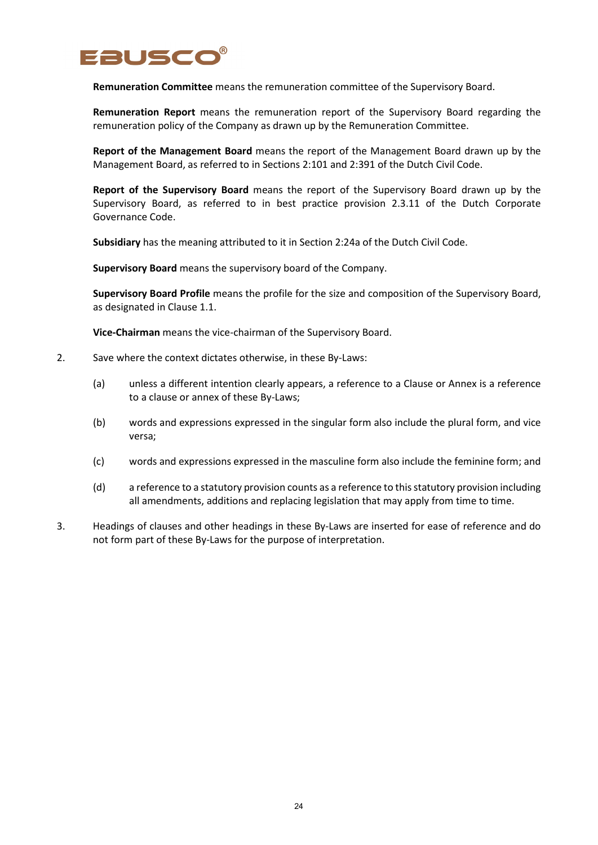

**Remuneration Committee** means the remuneration committee of the Supervisory Board.

**Remuneration Report** means the remuneration report of the Supervisory Board regarding the remuneration policy of the Company as drawn up by the Remuneration Committee.

**Report of the Management Board** means the report of the Management Board drawn up by the Management Board, as referred to in Sections 2:101 and 2:391 of the Dutch Civil Code.

**Report of the Supervisory Board** means the report of the Supervisory Board drawn up by the Supervisory Board, as referred to in best practice provision 2.3.11 of the Dutch Corporate Governance Code.

**Subsidiary** has the meaning attributed to it in Section 2:24a of the Dutch Civil Code.

**Supervisory Board** means the supervisory board of the Company.

**Supervisory Board Profile** means the profile for the size and composition of the Supervisory Board, as designated in Clause 1.1.

**Vice-Chairman** means the vice-chairman of the Supervisory Board.

- 2. Save where the context dictates otherwise, in these By-Laws:
	- (a) unless a different intention clearly appears, a reference to a Clause or Annex is a reference to a clause or annex of these By-Laws;
	- (b) words and expressions expressed in the singular form also include the plural form, and vice versa;
	- (c) words and expressions expressed in the masculine form also include the feminine form; and
	- (d) a reference to a statutory provision counts as a reference to this statutory provision including all amendments, additions and replacing legislation that may apply from time to time.
- 3. Headings of clauses and other headings in these By-Laws are inserted for ease of reference and do not form part of these By-Laws for the purpose of interpretation.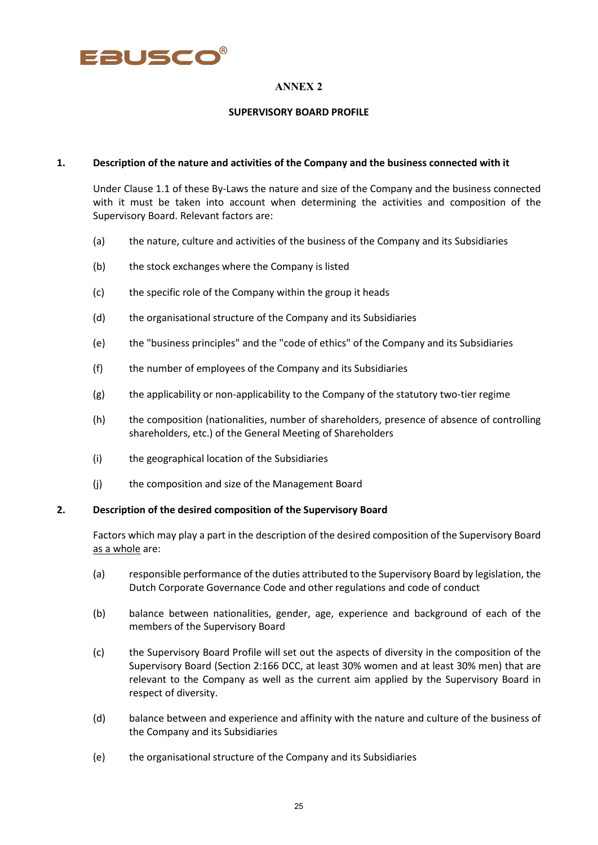

#### **SUPERVISORY BOARD PROFILE**

#### **1. Description of the nature and activities of the Company and the business connected with it**

Under Clause 1.1 of these By-Laws the nature and size of the Company and the business connected with it must be taken into account when determining the activities and composition of the Supervisory Board. Relevant factors are:

- (a) the nature, culture and activities of the business of the Company and its Subsidiaries
- (b) the stock exchanges where the Company is listed
- (c) the specific role of the Company within the group it heads
- (d) the organisational structure of the Company and its Subsidiaries
- (e) the "business principles" and the "code of ethics" of the Company and its Subsidiaries
- (f) the number of employees of the Company and its Subsidiaries
- (g) the applicability or non-applicability to the Company of the statutory two-tier regime
- (h) the composition (nationalities, number of shareholders, presence of absence of controlling shareholders, etc.) of the General Meeting of Shareholders
- (i) the geographical location of the Subsidiaries
- (j) the composition and size of the Management Board

#### **2. Description of the desired composition of the Supervisory Board**

Factors which may play a part in the description of the desired composition of the Supervisory Board as a whole are:

- (a) responsible performance of the duties attributed to the Supervisory Board by legislation, the Dutch Corporate Governance Code and other regulations and code of conduct
- (b) balance between nationalities, gender, age, experience and background of each of the members of the Supervisory Board
- (c) the Supervisory Board Profile will set out the aspects of diversity in the composition of the Supervisory Board (Section 2:166 DCC, at least 30% women and at least 30% men) that are relevant to the Company as well as the current aim applied by the Supervisory Board in respect of diversity.
- (d) balance between and experience and affinity with the nature and culture of the business of the Company and its Subsidiaries
- (e) the organisational structure of the Company and its Subsidiaries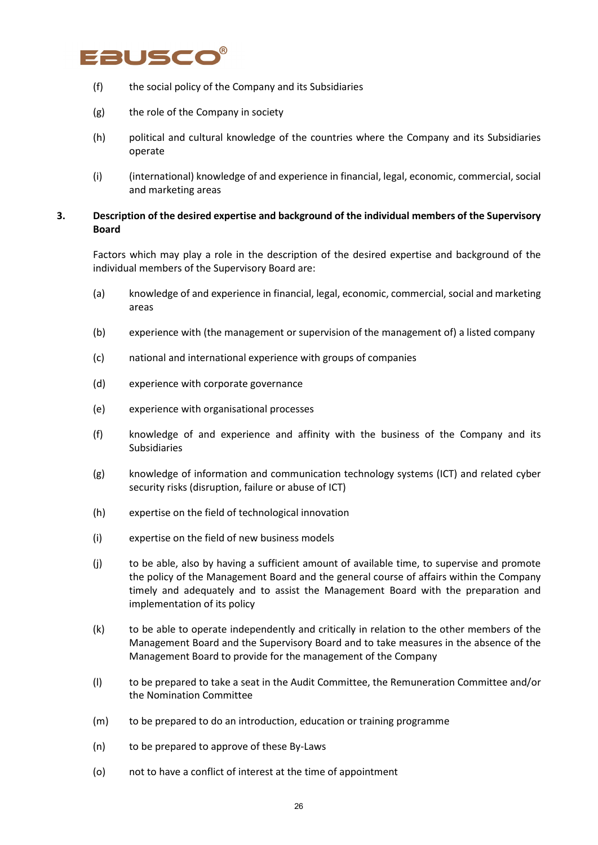# EAUSCO

- (f) the social policy of the Company and its Subsidiaries
- (g) the role of the Company in society
- (h) political and cultural knowledge of the countries where the Company and its Subsidiaries operate
- (i) (international) knowledge of and experience in financial, legal, economic, commercial, social and marketing areas

### **3. Description of the desired expertise and background of the individual members of the Supervisory Board**

Factors which may play a role in the description of the desired expertise and background of the individual members of the Supervisory Board are:

- (a) knowledge of and experience in financial, legal, economic, commercial, social and marketing areas
- (b) experience with (the management or supervision of the management of) a listed company
- (c) national and international experience with groups of companies
- (d) experience with corporate governance
- (e) experience with organisational processes
- (f) knowledge of and experience and affinity with the business of the Company and its Subsidiaries
- (g) knowledge of information and communication technology systems (ICT) and related cyber security risks (disruption, failure or abuse of ICT)
- (h) expertise on the field of technological innovation
- (i) expertise on the field of new business models
- (j) to be able, also by having a sufficient amount of available time, to supervise and promote the policy of the Management Board and the general course of affairs within the Company timely and adequately and to assist the Management Board with the preparation and implementation of its policy
- (k) to be able to operate independently and critically in relation to the other members of the Management Board and the Supervisory Board and to take measures in the absence of the Management Board to provide for the management of the Company
- (l) to be prepared to take a seat in the Audit Committee, the Remuneration Committee and/or the Nomination Committee
- (m) to be prepared to do an introduction, education or training programme
- (n) to be prepared to approve of these By-Laws
- (o) not to have a conflict of interest at the time of appointment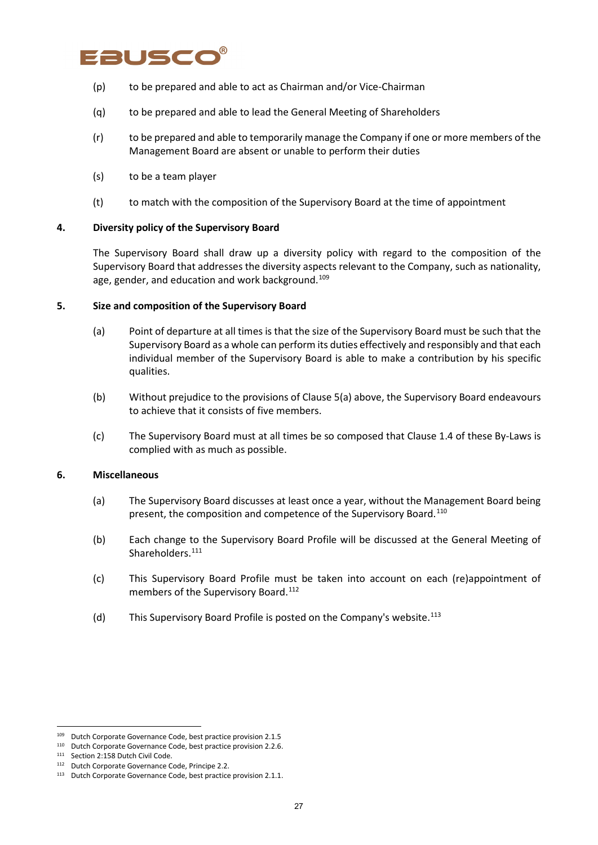# Fausco

- (p) to be prepared and able to act as Chairman and/or Vice-Chairman
- (q) to be prepared and able to lead the General Meeting of Shareholders
- (r) to be prepared and able to temporarily manage the Company if one or more members of the Management Board are absent or unable to perform their duties
- (s) to be a team player
- (t) to match with the composition of the Supervisory Board at the time of appointment

#### **4. Diversity policy of the Supervisory Board**

The Supervisory Board shall draw up a diversity policy with regard to the composition of the Supervisory Board that addresses the diversity aspects relevant to the Company, such as nationality, age, gender, and education and work background.<sup>[109](#page-26-0)</sup>

#### **5. Size and composition of the Supervisory Board**

- (a) Point of departure at all times is that the size of the Supervisory Board must be such that the Supervisory Board as a whole can perform its duties effectively and responsibly and that each individual member of the Supervisory Board is able to make a contribution by his specific qualities.
- (b) Without prejudice to the provisions of Clause 5(a) above, the Supervisory Board endeavours to achieve that it consists of five members.
- (c) The Supervisory Board must at all times be so composed that Clause 1.4 of these By-Laws is complied with as much as possible.

#### **6. Miscellaneous**

- (a) The Supervisory Board discusses at least once a year, without the Management Board being present, the composition and competence of the Supervisory Board.<sup>[110](#page-26-1)</sup>
- (b) Each change to the Supervisory Board Profile will be discussed at the General Meeting of Shareholders.<sup>[111](#page-26-2)</sup>
- (c) This Supervisory Board Profile must be taken into account on each (re)appointment of members of the Supervisory Board.<sup>[112](#page-26-3)</sup>
- (d) This Supervisory Board Profile is posted on the Company's website.<sup>[113](#page-26-4)</sup>

<span id="page-26-0"></span><sup>109</sup> Dutch Corporate Governance Code, best practice provision 2.1.5

<span id="page-26-1"></span><sup>110</sup> Dutch Corporate Governance Code, best practice provision 2.2.6.

<sup>111</sup> Section 2:158 Dutch Civil Code.

<span id="page-26-3"></span><span id="page-26-2"></span><sup>112</sup> Dutch Corporate Governance Code, Principe 2.2.

<span id="page-26-4"></span><sup>&</sup>lt;sup>113</sup> Dutch Corporate Governance Code, best practice provision 2.1.1.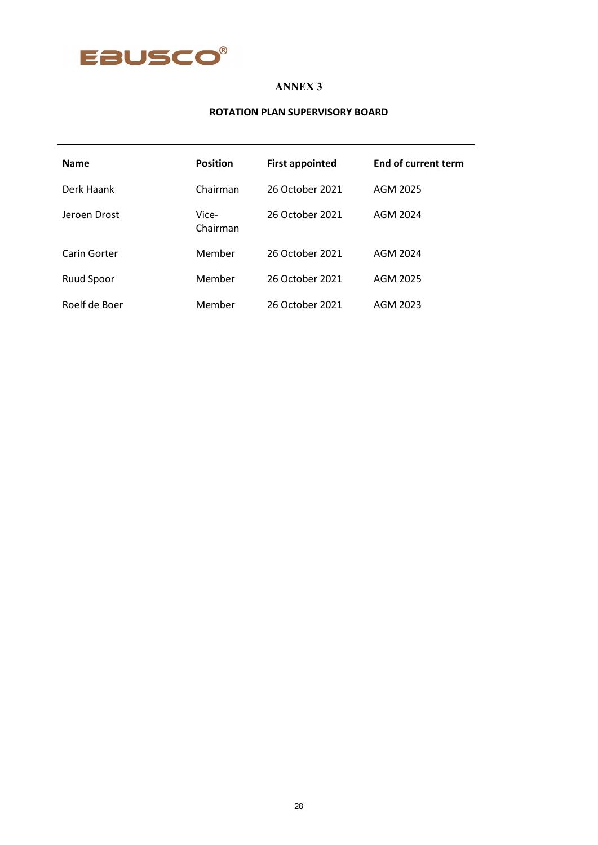

#### **ROTATION PLAN SUPERVISORY BOARD**

| <b>Name</b>       | <b>Position</b>   | <b>First appointed</b> | End of current term |
|-------------------|-------------------|------------------------|---------------------|
| Derk Haank        | Chairman          | 26 October 2021        | AGM 2025            |
| Jeroen Drost      | Vice-<br>Chairman | 26 October 2021        | AGM 2024            |
| Carin Gorter      | Member            | 26 October 2021        | AGM 2024            |
| <b>Ruud Spoor</b> | Member            | 26 October 2021        | AGM 2025            |
| Roelf de Boer     | Member            | 26 October 2021        | AGM 2023            |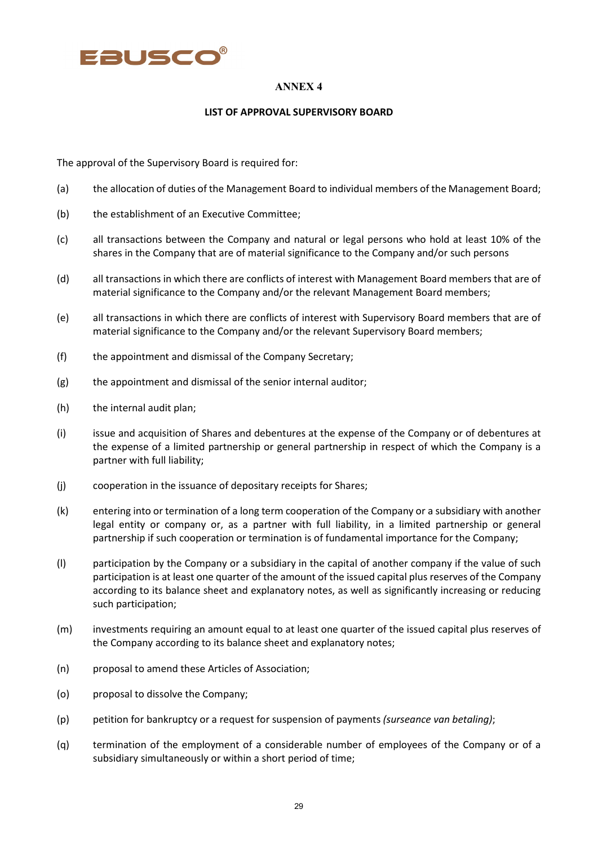

#### **LIST OF APPROVAL SUPERVISORY BOARD**

The approval of the Supervisory Board is required for:

- (a) the allocation of duties of the Management Board to individual members of the Management Board;
- (b) the establishment of an Executive Committee;
- (c) all transactions between the Company and natural or legal persons who hold at least 10% of the shares in the Company that are of material significance to the Company and/or such persons
- (d) all transactions in which there are conflicts of interest with Management Board members that are of material significance to the Company and/or the relevant Management Board members;
- (e) all transactions in which there are conflicts of interest with Supervisory Board members that are of material significance to the Company and/or the relevant Supervisory Board members;
- (f) the appointment and dismissal of the Company Secretary;
- (g) the appointment and dismissal of the senior internal auditor;
- (h) the internal audit plan;
- (i) issue and acquisition of Shares and debentures at the expense of the Company or of debentures at the expense of a limited partnership or general partnership in respect of which the Company is a partner with full liability;
- (j) cooperation in the issuance of depositary receipts for Shares;
- (k) entering into or termination of a long term cooperation of the Company or a subsidiary with another legal entity or company or, as a partner with full liability, in a limited partnership or general partnership if such cooperation or termination is of fundamental importance for the Company;
- (l) participation by the Company or a subsidiary in the capital of another company if the value of such participation is at least one quarter of the amount of the issued capital plus reserves of the Company according to its balance sheet and explanatory notes, as well as significantly increasing or reducing such participation;
- (m) investments requiring an amount equal to at least one quarter of the issued capital plus reserves of the Company according to its balance sheet and explanatory notes;
- (n) proposal to amend these Articles of Association;
- (o) proposal to dissolve the Company;
- (p) petition for bankruptcy or a request for suspension of payments *(surseance van betaling)*;
- (q) termination of the employment of a considerable number of employees of the Company or of a subsidiary simultaneously or within a short period of time;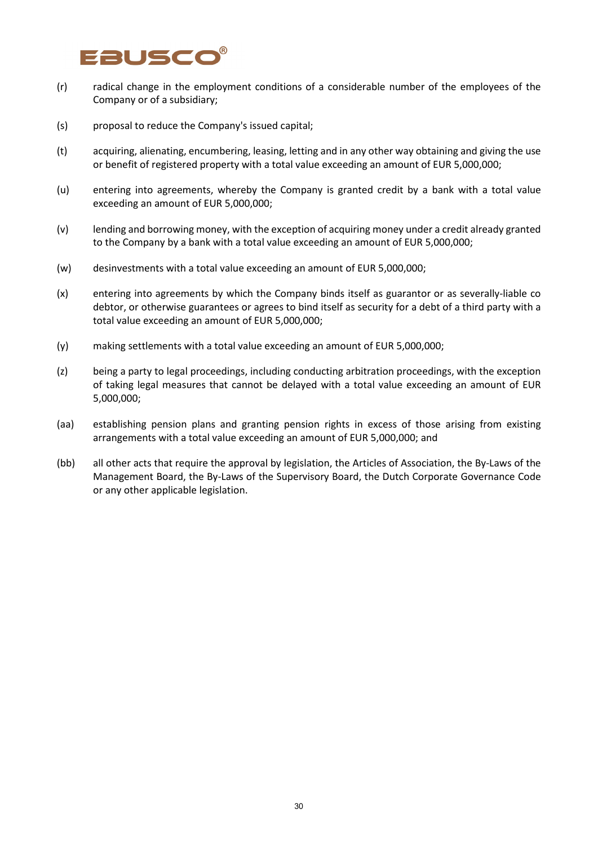# auscc

- (r) radical change in the employment conditions of a considerable number of the employees of the Company or of a subsidiary;
- (s) proposal to reduce the Company's issued capital;
- (t) acquiring, alienating, encumbering, leasing, letting and in any other way obtaining and giving the use or benefit of registered property with a total value exceeding an amount of EUR 5,000,000;
- (u) entering into agreements, whereby the Company is granted credit by a bank with a total value exceeding an amount of EUR 5,000,000;
- (v) lending and borrowing money, with the exception of acquiring money under a credit already granted to the Company by a bank with a total value exceeding an amount of EUR 5,000,000;
- (w) desinvestments with a total value exceeding an amount of EUR 5,000,000;
- (x) entering into agreements by which the Company binds itself as guarantor or as severally-liable co debtor, or otherwise guarantees or agrees to bind itself as security for a debt of a third party with a total value exceeding an amount of EUR 5,000,000;
- (y) making settlements with a total value exceeding an amount of EUR 5,000,000;
- (z) being a party to legal proceedings, including conducting arbitration proceedings, with the exception of taking legal measures that cannot be delayed with a total value exceeding an amount of EUR 5,000,000;
- (aa) establishing pension plans and granting pension rights in excess of those arising from existing arrangements with a total value exceeding an amount of EUR 5,000,000; and
- (bb) all other acts that require the approval by legislation, the Articles of Association, the By-Laws of the Management Board, the By-Laws of the Supervisory Board, the Dutch Corporate Governance Code or any other applicable legislation.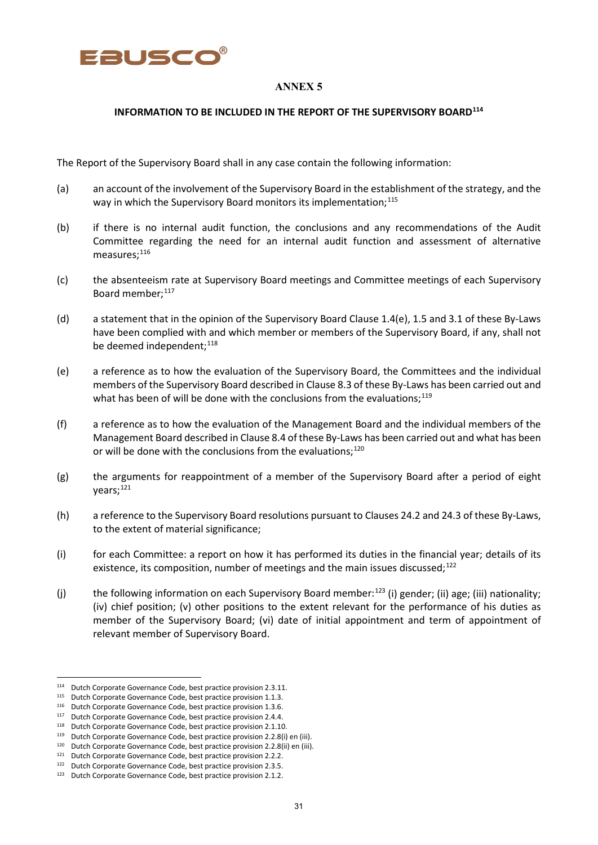

#### **INFORMATION TO BE INCLUDED IN THE REPORT OF THE SUPERVISORY BOARD[114](#page-30-0)**

The Report of the Supervisory Board shall in any case contain the following information:

- (a) an account of the involvement of the Supervisory Board in the establishment of the strategy, and the way in which the Supervisory Board monitors its implementation;<sup>[115](#page-30-1)</sup>
- (b) if there is no internal audit function, the conclusions and any recommendations of the Audit Committee regarding the need for an internal audit function and assessment of alternative measures; [116](#page-30-2)
- (c) the absenteeism rate at Supervisory Board meetings and Committee meetings of each Supervisory Board member; [117](#page-30-3)
- (d) a statement that in the opinion of the Supervisory Board Clause 1.4(e), 1.5 and 3.1 of these By-Laws have been complied with and which member or members of the Supervisory Board, if any, shall not be deemed independent;<sup>[118](#page-30-4)</sup>
- (e) a reference as to how the evaluation of the Supervisory Board, the Committees and the individual members of the Supervisory Board described in Clause 8.3 of these By-Laws has been carried out and what has been of will be done with the conclusions from the evaluations; $^{119}$  $^{119}$  $^{119}$
- (f) a reference as to how the evaluation of the Management Board and the individual members of the Management Board described in Clause 8.4 of these By-Laws has been carried out and what has been or will be done with the conclusions from the evaluations;<sup>[120](#page-30-6)</sup>
- (g) the arguments for reappointment of a member of the Supervisory Board after a period of eight years; [121](#page-30-7)
- (h) a reference to the Supervisory Board resolutions pursuant to Clauses 24.2 and 24.3 of these By-Laws, to the extent of material significance;
- (i) for each Committee: a report on how it has performed its duties in the financial year; details of its existence, its composition, number of meetings and the main issues discussed; $^{122}$  $^{122}$  $^{122}$
- (j) the following information on each Supervisory Board member:<sup>[123](#page-30-9)</sup> (i) gender; (ii) age; (iii) nationality; (iv) chief position; (v) other positions to the extent relevant for the performance of his duties as member of the Supervisory Board; (vi) date of initial appointment and term of appointment of relevant member of Supervisory Board.

<span id="page-30-0"></span><sup>&</sup>lt;sup>114</sup> Dutch Corporate Governance Code, best practice provision 2.3.11.

<span id="page-30-1"></span><sup>115</sup> Dutch Corporate Governance Code, best practice provision 1.1.3.

<span id="page-30-2"></span><sup>116</sup> Dutch Corporate Governance Code, best practice provision 1.3.6.

<span id="page-30-3"></span><sup>117</sup> Dutch Corporate Governance Code, best practice provision 2.4.4.

<span id="page-30-4"></span><sup>118</sup> Dutch Corporate Governance Code, best practice provision 2.1.10.

<span id="page-30-5"></span><sup>119</sup> Dutch Corporate Governance Code, best practice provision 2.2.8(i) en (iii).

<span id="page-30-6"></span><sup>&</sup>lt;sup>120</sup> Dutch Corporate Governance Code, best practice provision 2.2.8(ii) en (iii).

<sup>&</sup>lt;sup>121</sup> Dutch Corporate Governance Code, best practice provision 2.2.2.

<span id="page-30-8"></span><span id="page-30-7"></span><sup>122</sup> Dutch Corporate Governance Code, best practice provision 2.3.5.

<span id="page-30-9"></span><sup>123</sup> Dutch Corporate Governance Code, best practice provision 2.1.2.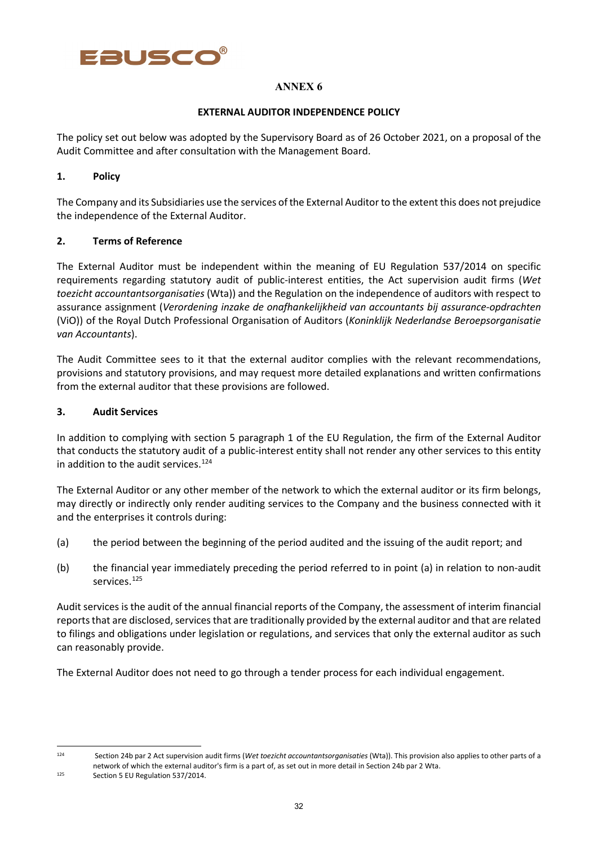

### **EXTERNAL AUDITOR INDEPENDENCE POLICY**

The policy set out below was adopted by the Supervisory Board as of 26 October 2021, on a proposal of the Audit Committee and after consultation with the Management Board.

### **1. Policy**

The Company and its Subsidiaries use the services of the External Auditor to the extent this does not prejudice the independence of the External Auditor.

### **2. Terms of Reference**

The External Auditor must be independent within the meaning of EU Regulation 537/2014 on specific requirements regarding statutory audit of public-interest entities, the Act supervision audit firms (*Wet toezicht accountantsorganisaties* (Wta)) and the Regulation on the independence of auditors with respect to assurance assignment (*Verordening inzake de onafhankelijkheid van accountants bij assurance-opdrachten* (ViO)) of the Royal Dutch Professional Organisation of Auditors (*Koninklijk Nederlandse Beroepsorganisatie van Accountants*).

The Audit Committee sees to it that the external auditor complies with the relevant recommendations, provisions and statutory provisions, and may request more detailed explanations and written confirmations from the external auditor that these provisions are followed.

### **3. Audit Services**

In addition to complying with section 5 paragraph 1 of the EU Regulation, the firm of the External Auditor that conducts the statutory audit of a public-interest entity shall not render any other services to this entity in addition to the audit services. [124](#page-31-0)

The External Auditor or any other member of the network to which the external auditor or its firm belongs, may directly or indirectly only render auditing services to the Company and the business connected with it and the enterprises it controls during:

- (a) the period between the beginning of the period audited and the issuing of the audit report; and
- (b) the financial year immediately preceding the period referred to in point (a) in relation to non-audit services. [125](#page-31-1)

Audit services is the audit of the annual financial reports of the Company, the assessment of interim financial reports that are disclosed, services that are traditionally provided by the external auditor and that are related to filings and obligations under legislation or regulations, and services that only the external auditor as such can reasonably provide.

The External Auditor does not need to go through a tender process for each individual engagement.

<span id="page-31-0"></span><sup>124</sup> Section 24b par 2 Act supervision audit firms (*Wet toezicht accountantsorganisaties* (Wta)). This provision also applies to other parts of a network of which the external auditor's firm is a part of, as set out in more detail in Section 24b par 2 Wta.

<span id="page-31-1"></span><sup>125</sup> Section 5 EU Regulation 537/2014.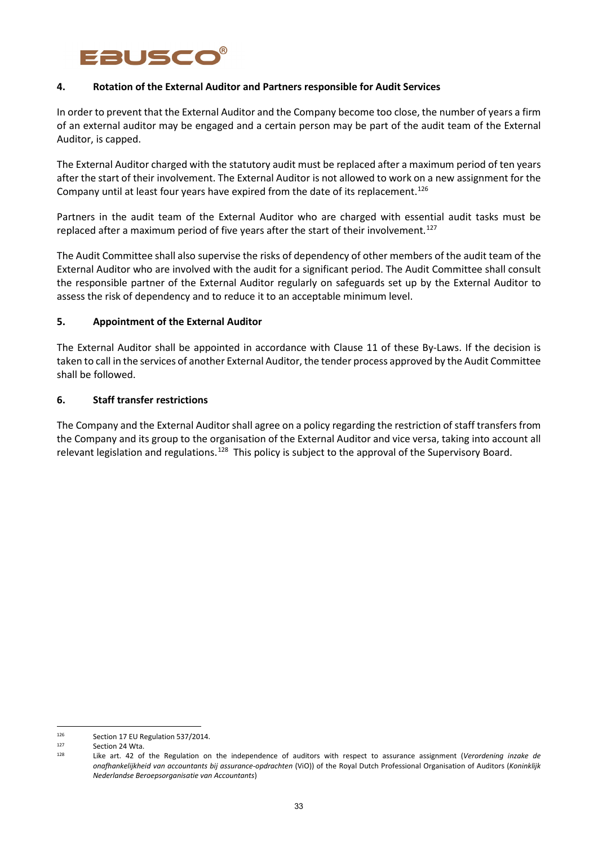# **RUSC**

### **4. Rotation of the External Auditor and Partners responsible for Audit Services**

In order to prevent that the External Auditor and the Company become too close, the number of years a firm of an external auditor may be engaged and a certain person may be part of the audit team of the External Auditor, is capped.

The External Auditor charged with the statutory audit must be replaced after a maximum period of ten years after the start of their involvement. The External Auditor is not allowed to work on a new assignment for the Company until at least four years have expired from the date of its replacement.<sup>[126](#page-32-0)</sup>

Partners in the audit team of the External Auditor who are charged with essential audit tasks must be replaced after a maximum period of five years after the start of their involvement.<sup>[127](#page-32-1)</sup>

The Audit Committee shall also supervise the risks of dependency of other members of the audit team of the External Auditor who are involved with the audit for a significant period. The Audit Committee shall consult the responsible partner of the External Auditor regularly on safeguards set up by the External Auditor to assess the risk of dependency and to reduce it to an acceptable minimum level.

### **5. Appointment of the External Auditor**

The External Auditor shall be appointed in accordance with Clause 11 of these By-Laws. If the decision is taken to call in the services of another External Auditor, the tender process approved by the Audit Committee shall be followed.

### **6. Staff transfer restrictions**

The Company and the External Auditor shall agree on a policy regarding the restriction of staff transfers from the Company and its group to the organisation of the External Auditor and vice versa, taking into account all relevant legislation and regulations.<sup>[128](#page-32-2)</sup> This policy is subject to the approval of the Supervisory Board.

<span id="page-32-0"></span><sup>126</sup> Section 17 EU Regulation 537/2014.

<span id="page-32-2"></span><span id="page-32-1"></span> $127$  Section 24 Wta.<br> $128$  Like art 42 of

Like art. 42 of the Regulation on the independence of auditors with respect to assurance assignment (*Verordening inzake de onafhankelijkheid van accountants bij assurance-opdrachten* (ViO)) of the Royal Dutch Professional Organisation of Auditors (*Koninklijk Nederlandse Beroepsorganisatie van Accountants*)